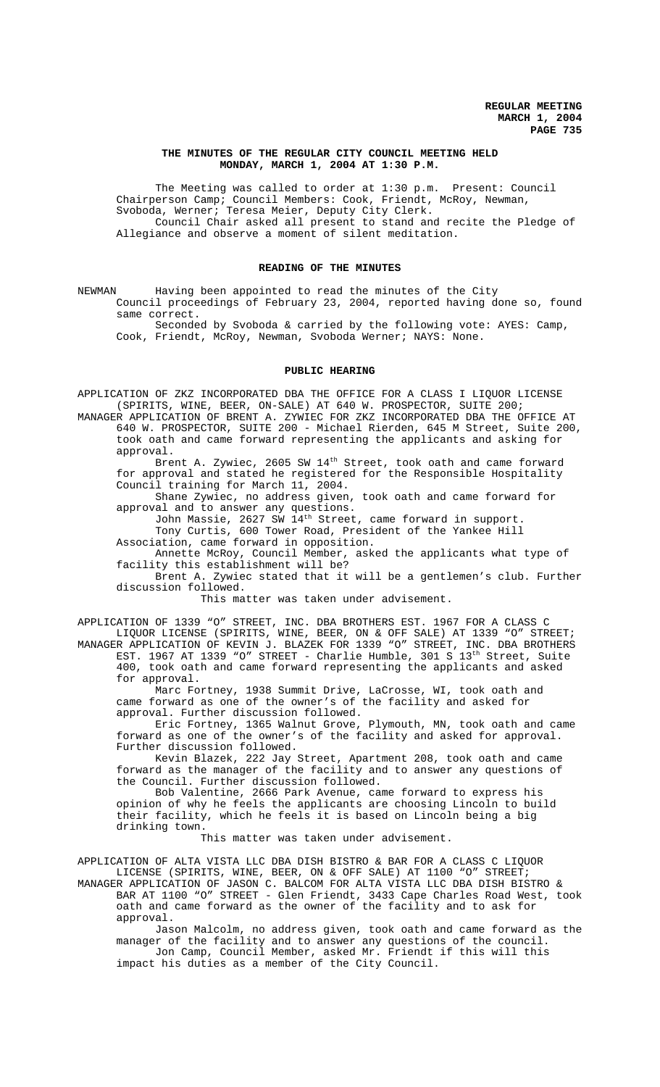# **THE MINUTES OF THE REGULAR CITY COUNCIL MEETING HELD MONDAY, MARCH 1, 2004 AT 1:30 P.M.**

The Meeting was called to order at 1:30 p.m. Present: Council Chairperson Camp; Council Members: Cook, Friendt, McRoy, Newman, Svoboda, Werner; Teresa Meier, Deputy City Clerk. Council Chair asked all present to stand and recite the Pledge of Allegiance and observe a moment of silent meditation.

## **READING OF THE MINUTES**

NEWMAN Having been appointed to read the minutes of the City Council proceedings of February 23, 2004, reported having done so, found same correct.

Seconded by Svoboda & carried by the following vote: AYES: Camp, Cook, Friendt, McRoy, Newman, Svoboda Werner; NAYS: None.

### **PUBLIC HEARING**

APPLICATION OF ZKZ INCORPORATED DBA THE OFFICE FOR A CLASS I LIQUOR LICENSE (SPIRITS, WINE, BEER, ON-SALE) AT 640 W. PROSPECTOR, SUITE 200;

MANAGER APPLICATION OF BRENT A. ZYWIEC FOR ZKZ INCORPORATED DBA THE OFFICE AT 640 W. PROSPECTOR, SUITE 200 - Michael Rierden, 645 M Street, Suite 200, took oath and came forward representing the applicants and asking for approval.

Brent A. Zywiec, 2605 SW 14<sup>th</sup> Street, took oath and came forward for approval and stated he registered for the Responsible Hospitality Council training for March 11, 2004.

Shane Zywiec, no address given, took oath and came forward for approval and to answer any questions.

John Massie, 2627 SW 14th Street, came forward in support. Tony Curtis, 600 Tower Road, President of the Yankee Hill

Association, came forward in opposition. Annette McRoy, Council Member, asked the applicants what type of facility this establishment will be?

Brent A. Zywiec stated that it will be a gentlemen's club. Further discussion followed.

This matter was taken under advisement.

APPLICATION OF 1339 "O" STREET, INC. DBA BROTHERS EST. 1967 FOR A CLASS C LIQUOR LICENSE (SPIRITS, WINE, BEER, ON & OFF SALE) AT 1339 "O" STREET; MANAGER APPLICATION OF KEVIN J. BLAZEK FOR 1339 "O" STREET, INC. DBA BROTHERS EST. 1967 AT 1339 "O" STREET - Charlie Humble, 301 S 13<sup>th</sup> Street, Suite

400, took oath and came forward representing the applicants and asked for approval.

Marc Fortney, 1938 Summit Drive, LaCrosse, WI, took oath and came forward as one of the owner's of the facility and asked for approval. Further discussion followed.

Eric Fortney, 1365 Walnut Grove, Plymouth, MN, took oath and came forward as one of the owner's of the facility and asked for approval. Further discussion followed.

Kevin Blazek, 222 Jay Street, Apartment 208, took oath and came forward as the manager of the facility and to answer any questions of the Council. Further discussion followed.

Bob Valentine, 2666 Park Avenue, came forward to express his opinion of why he feels the applicants are choosing Lincoln to build their facility, which he feels it is based on Lincoln being a big drinking town.

This matter was taken under advisement.

APPLICATION OF ALTA VISTA LLC DBA DISH BISTRO & BAR FOR A CLASS C LIQUOR LICENSE (SPIRITS, WINE, BEER, ON & OFF SALE) AT 1100 "O" STREET;

MANAGER APPLICATION OF JASON C. BALCOM FOR ALTA VISTA LLC DBA DISH BISTRO & BAR AT 1100 "O" STREET - Glen Friendt, 3433 Cape Charles Road West, took oath and came forward as the owner of the facility and to ask for approval.

Jason Malcolm, no address given, took oath and came forward as the manager of the facility and to answer any questions of the council. Jon Camp, Council Member, asked Mr. Friendt if this will this impact his duties as a member of the City Council.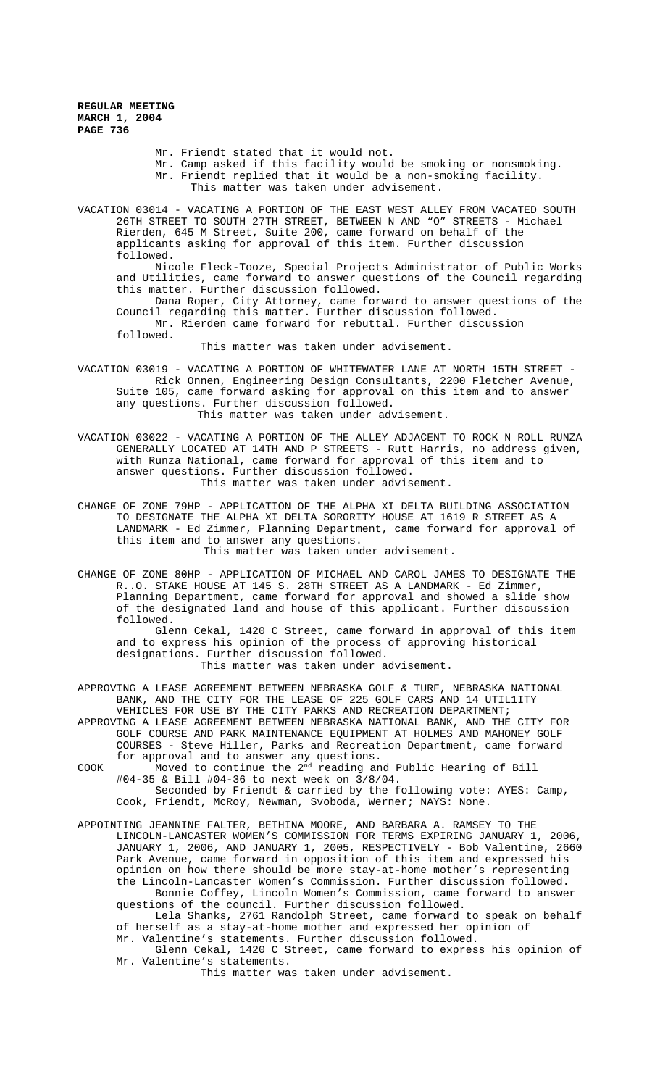Mr. Friendt stated that it would not.

Mr. Camp asked if this facility would be smoking or nonsmoking.

Mr. Friendt replied that it would be a non-smoking facility.

This matter was taken under advisement.

VACATION 03014 - VACATING A PORTION OF THE EAST WEST ALLEY FROM VACATED SOUTH 26TH STREET TO SOUTH 27TH STREET, BETWEEN N AND "O" STREETS - Michael Rierden, 645 M Street, Suite 200, came forward on behalf of the applicants asking for approval of this item. Further discussion followed.

Nicole Fleck-Tooze, Special Projects Administrator of Public Works and Utilities, came forward to answer questions of the Council regarding this matter. Further discussion followed.

Dana Roper, City Attorney, came forward to answer questions of the Council regarding this matter. Further discussion followed. Mr. Rierden came forward for rebuttal. Further discussion

followed.

This matter was taken under advisement.

VACATION 03019 - VACATING A PORTION OF WHITEWATER LANE AT NORTH 15TH STREET - Rick Onnen, Engineering Design Consultants, 2200 Fletcher Avenue, Suite 105, came forward asking for approval on this item and to answer any questions. Further discussion followed. This matter was taken under advisement.

VACATION 03022 - VACATING A PORTION OF THE ALLEY ADJACENT TO ROCK N ROLL RUNZA GENERALLY LOCATED AT 14TH AND P STREETS - Rutt Harris, no address given, with Runza National, came forward for approval of this item and to answer questions. Further discussion followed. This matter was taken under advisement.

CHANGE OF ZONE 79HP - APPLICATION OF THE ALPHA XI DELTA BUILDING ASSOCIATION TO DESIGNATE THE ALPHA XI DELTA SORORITY HOUSE AT 1619 R STREET AS A LANDMARK - Ed Zimmer, Planning Department, came forward for approval of this item and to answer any questions.

This matter was taken under advisement.

CHANGE OF ZONE 80HP - APPLICATION OF MICHAEL AND CAROL JAMES TO DESIGNATE THE R..O. STAKE HOUSE AT 145 S. 28TH STREET AS A LANDMARK - Ed Zimmer, Planning Department, came forward for approval and showed a slide show of the designated land and house of this applicant. Further discussion followed.

Glenn Cekal, 1420 C Street, came forward in approval of this item and to express his opinion of the process of approving historical designations. Further discussion followed. This matter was taken under advisement.

APPROVING A LEASE AGREEMENT BETWEEN NEBRASKA GOLF & TURF, NEBRASKA NATIONAL BANK, AND THE CITY FOR THE LEASE OF 225 GOLF CARS AND 14 UTIL1ITY VEHICLES FOR USE BY THE CITY PARKS AND RECREATION DEPARTMENT;

APPROVING A LEASE AGREEMENT BETWEEN NEBRASKA NATIONAL BANK, AND THE CITY FOR GOLF COURSE AND PARK MAINTENANCE EQUIPMENT AT HOLMES AND MAHONEY GOLF COURSES - Steve Hiller, Parks and Recreation Department, came forward for approval and to answer any questions.

COOK Moved to continue the  $2^{nd}$  reading and Public Hearing of Bill #04-35 & Bill #04-36 to next week on 3/8/04.

Seconded by Friendt & carried by the following vote: AYES: Camp, Cook, Friendt, McRoy, Newman, Svoboda, Werner; NAYS: None.

APPOINTING JEANNINE FALTER, BETHINA MOORE, AND BARBARA A. RAMSEY TO THE LINCOLN-LANCASTER WOMEN'S COMMISSION FOR TERMS EXPIRING JANUARY 1, 2006, JANUARY 1, 2006, AND JANUARY 1, 2005, RESPECTIVELY - Bob Valentine, 2660 Park Avenue, came forward in opposition of this item and expressed his opinion on how there should be more stay-at-home mother's representing the Lincoln-Lancaster Women's Commission. Further discussion followed. Bonnie Coffey, Lincoln Women's Commission, came forward to answer questions of the council. Further discussion followed.

Lela Shanks, 2761 Randolph Street, came forward to speak on behalf of herself as a stay-at-home mother and expressed her opinion of Mr. Valentine's statements. Further discussion followed.

Glenn Cekal, 1420 C Street, came forward to express his opinion of Mr. Valentine's statements.

This matter was taken under advisement.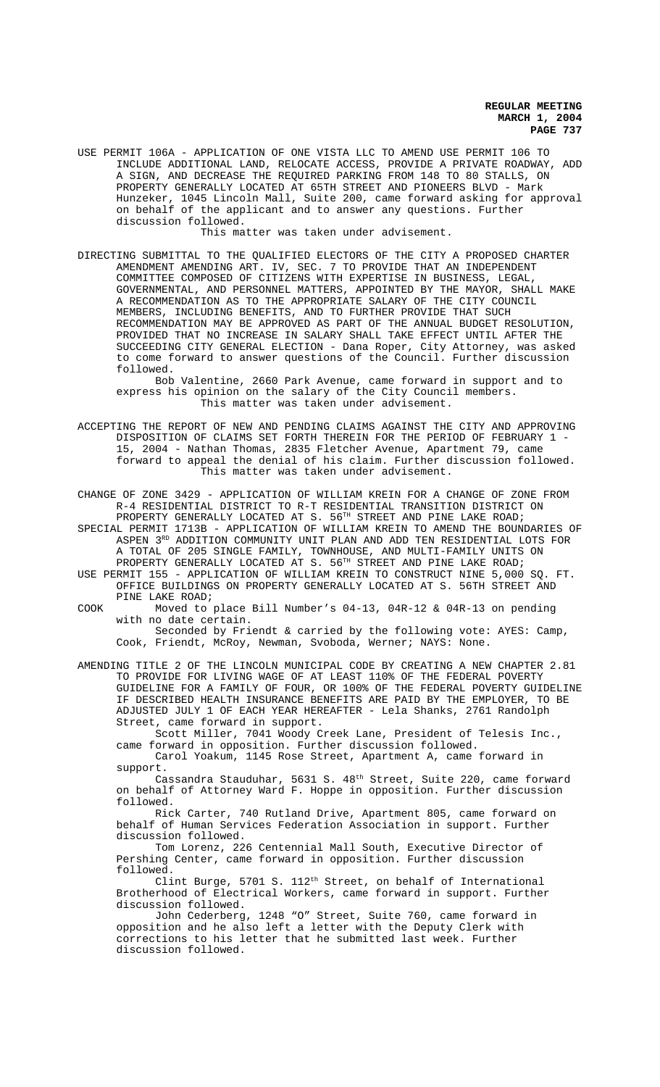USE PERMIT 106A - APPLICATION OF ONE VISTA LLC TO AMEND USE PERMIT 106 TO INCLUDE ADDITIONAL LAND, RELOCATE ACCESS, PROVIDE A PRIVATE ROADWAY, ADD A SIGN, AND DECREASE THE REQUIRED PARKING FROM 148 TO 80 STALLS, ON PROPERTY GENERALLY LOCATED AT 65TH STREET AND PIONEERS BLVD - Mark Hunzeker, 1045 Lincoln Mall, Suite 200, came forward asking for approval on behalf of the applicant and to answer any questions. Further discussion followed.

This matter was taken under advisement.

DIRECTING SUBMITTAL TO THE QUALIFIED ELECTORS OF THE CITY A PROPOSED CHARTER AMENDMENT AMENDING ART. IV, SEC. 7 TO PROVIDE THAT AN INDEPENDENT COMMITTEE COMPOSED OF CITIZENS WITH EXPERTISE IN BUSINESS, LEGAL, GOVERNMENTAL, AND PERSONNEL MATTERS, APPOINTED BY THE MAYOR, SHALL MAKE A RECOMMENDATION AS TO THE APPROPRIATE SALARY OF THE CITY COUNCIL MEMBERS, INCLUDING BENEFITS, AND TO FURTHER PROVIDE THAT SUCH RECOMMENDATION MAY BE APPROVED AS PART OF THE ANNUAL BUDGET RESOLUTION, PROVIDED THAT NO INCREASE IN SALARY SHALL TAKE EFFECT UNTIL AFTER THE SUCCEEDING CITY GENERAL ELECTION - Dana Roper, City Attorney, was asked to come forward to answer questions of the Council. Further discussion followed.

Bob Valentine, 2660 Park Avenue, came forward in support and to express his opinion on the salary of the City Council members. This matter was taken under advisement.

ACCEPTING THE REPORT OF NEW AND PENDING CLAIMS AGAINST THE CITY AND APPROVING DISPOSITION OF CLAIMS SET FORTH THEREIN FOR THE PERIOD OF FEBRUARY 1 - 15, 2004 - Nathan Thomas, 2835 Fletcher Avenue, Apartment 79, came forward to appeal the denial of his claim. Further discussion followed. This matter was taken under advisement.

CHANGE OF ZONE 3429 - APPLICATION OF WILLIAM KREIN FOR A CHANGE OF ZONE FROM R-4 RESIDENTIAL DISTRICT TO R-T RESIDENTIAL TRANSITION DISTRICT ON PROPERTY GENERALLY LOCATED AT S. 56<sup>TH</sup> STREET AND PINE LAKE ROAD;

SPECIAL PERMIT 1713B - APPLICATION OF WILLIAM KREIN TO AMEND THE BOUNDARIES OF ASPEN 3RD ADDITION COMMUNITY UNIT PLAN AND ADD TEN RESIDENTIAL LOTS FOR A TOTAL OF 205 SINGLE FAMILY, TOWNHOUSE, AND MULTI-FAMILY UNITS ON PROPERTY GENERALLY LOCATED AT S. 56<sup>TH</sup> STREET AND PINE LAKE ROAD;

USE PERMIT 155 - APPLICATION OF WILLIAM KREIN TO CONSTRUCT NINE 5,000 SQ. FT. OFFICE BUILDINGS ON PROPERTY GENERALLY LOCATED AT S. 56TH STREET AND PINE LAKE ROAD;

COOK Moved to place Bill Number's 04-13, 04R-12 & 04R-13 on pending with no date certain.

Seconded by Friendt & carried by the following vote: AYES: Camp, Cook, Friendt, McRoy, Newman, Svoboda, Werner; NAYS: None.

AMENDING TITLE 2 OF THE LINCOLN MUNICIPAL CODE BY CREATING A NEW CHAPTER 2.81 TO PROVIDE FOR LIVING WAGE OF AT LEAST 110% OF THE FEDERAL POVERTY GUIDELINE FOR A FAMILY OF FOUR, OR 100% OF THE FEDERAL POVERTY GUIDELINE IF DESCRIBED HEALTH INSURANCE BENEFITS ARE PAID BY THE EMPLOYER, TO BE ADJUSTED JULY 1 OF EACH YEAR HEREAFTER - Lela Shanks, 2761 Randolph Street, came forward in support.

Scott Miller, 7041 Woody Creek Lane, President of Telesis Inc., came forward in opposition. Further discussion followed. Carol Yoakum, 1145 Rose Street, Apartment A, came forward in

support. Cassandra Stauduhar, 5631 S.  $48<sup>th</sup>$  Street, Suite 220, came forward

on behalf of Attorney Ward F. Hoppe in opposition. Further discussion followed.

Rick Carter, 740 Rutland Drive, Apartment 805, came forward on behalf of Human Services Federation Association in support. Further discussion followed.

Tom Lorenz, 226 Centennial Mall South, Executive Director of Pershing Center, came forward in opposition. Further discussion followed.

Clint Burge, 5701 S. 112<sup>th</sup> Street, on behalf of International Brotherhood of Electrical Workers, came forward in support. Further discussion followed.

John Cederberg, 1248 "O" Street, Suite 760, came forward in opposition and he also left a letter with the Deputy Clerk with corrections to his letter that he submitted last week. Further discussion followed.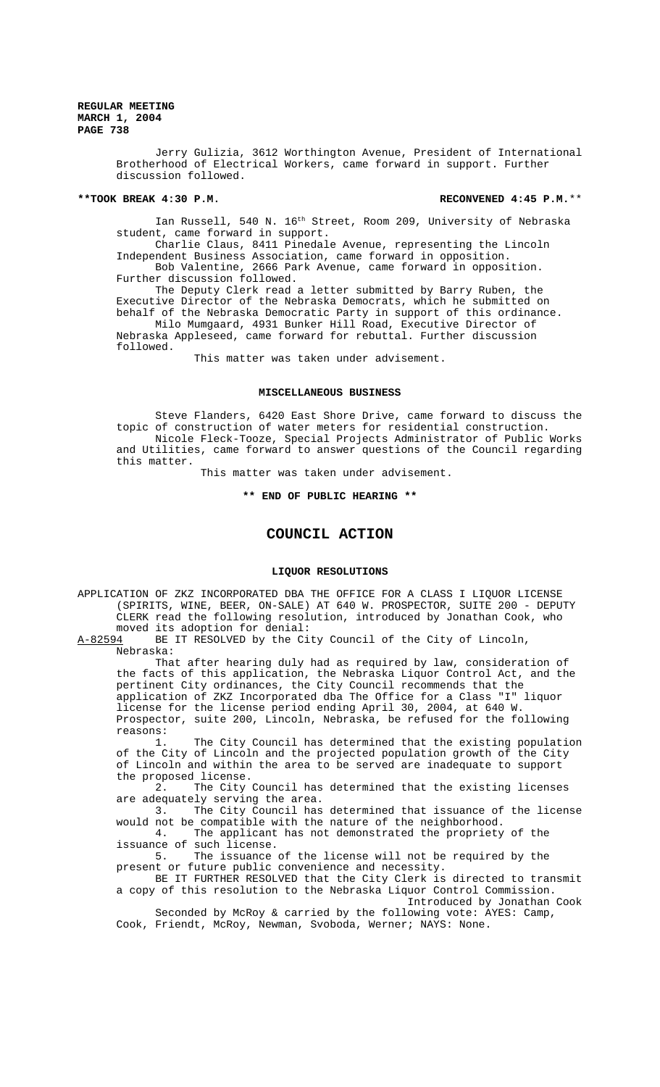> Jerry Gulizia, 3612 Worthington Avenue, President of International Brotherhood of Electrical Workers, came forward in support. Further discussion followed.

#### **\*\*TOOK BREAK 4:30 P.M. RECONVENED 4:45 P.M.**\*\*

Ian Russell, 540 N. 16<sup>th</sup> Street, Room 209, University of Nebraska student, came forward in support.

Charlie Claus, 8411 Pinedale Avenue, representing the Lincoln Independent Business Association, came forward in opposition. Bob Valentine, 2666 Park Avenue, came forward in opposition.

Further discussion followed.

The Deputy Clerk read a letter submitted by Barry Ruben, the Executive Director of the Nebraska Democrats, which he submitted on behalf of the Nebraska Democratic Party in support of this ordinance. Milo Mumgaard, 4931 Bunker Hill Road, Executive Director of Nebraska Appleseed, came forward for rebuttal. Further discussion followed.

This matter was taken under advisement.

#### **MISCELLANEOUS BUSINESS**

Steve Flanders, 6420 East Shore Drive, came forward to discuss the topic of construction of water meters for residential construction. Nicole Fleck-Tooze, Special Projects Administrator of Public Works and Utilities, came forward to answer questions of the Council regarding this matter.

This matter was taken under advisement.

# **\*\* END OF PUBLIC HEARING \*\***

# **COUNCIL ACTION**

#### **LIQUOR RESOLUTIONS**

APPLICATION OF ZKZ INCORPORATED DBA THE OFFICE FOR A CLASS I LIQUOR LICENSE (SPIRITS, WINE, BEER, ON-SALE) AT 640 W. PROSPECTOR, SUITE 200 - DEPUTY CLERK read the following resolution, introduced by Jonathan Cook, who moved its adoption for denial:<br>A-82594 BE IT RESOLVED by the Ci

BE IT RESOLVED by the City Council of the City of Lincoln, Nebraska:

That after hearing duly had as required by law, consideration of the facts of this application, the Nebraska Liquor Control Act, and the pertinent City ordinances, the City Council recommends that the application of ZKZ Incorporated dba The Office for a Class "I" liquor license for the license period ending April 30, 2004, at 640 W. Prospector, suite 200, Lincoln, Nebraska, be refused for the following reasons:

The City Council has determined that the existing population of the City of Lincoln and the projected population growth of the City of Lincoln and within the area to be served are inadequate to support the proposed license.

2. The City Council has determined that the existing licenses are adequately serving the area.

3. The City Council has determined that issuance of the license would not be compatible with the nature of the neighborhood.

4. The applicant has not demonstrated the propriety of the issuance of such license.

5. The issuance of the license will not be required by the present or future public convenience and necessity.

BE IT FURTHER RESOLVED that the City Clerk is directed to transmit a copy of this resolution to the Nebraska Liquor Control Commission. Introduced by Jonathan Cook

Seconded by McRoy & carried by the following vote: AYES: Camp, Cook, Friendt, McRoy, Newman, Svoboda, Werner; NAYS: None.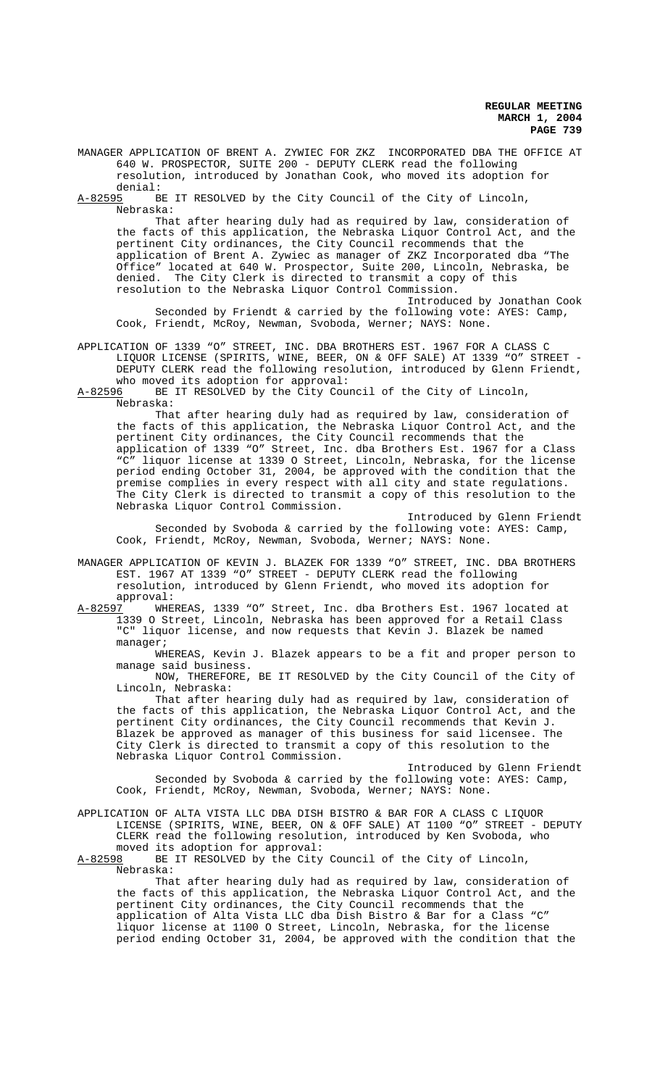MANAGER APPLICATION OF BRENT A. ZYWIEC FOR ZKZ INCORPORATED DBA THE OFFICE AT 640 W. PROSPECTOR, SUITE 200 - DEPUTY CLERK read the following resolution, introduced by Jonathan Cook, who moved its adoption for denial:

A-82595 BE IT RESOLVED by the City Council of the City of Lincoln, Nebraska:

That after hearing duly had as required by law, consideration of the facts of this application, the Nebraska Liquor Control Act, and the pertinent City ordinances, the City Council recommends that the application of Brent A. Zywiec as manager of ZKZ Incorporated dba "The Office" located at 640 W. Prospector, Suite 200, Lincoln, Nebraska, be denied. The City Clerk is directed to transmit a copy of this resolution to the Nebraska Liquor Control Commission.

Introduced by Jonathan Cook Seconded by Friendt & carried by the following vote: AYES: Camp, Cook, Friendt, McRoy, Newman, Svoboda, Werner; NAYS: None.

APPLICATION OF 1339 "O" STREET, INC. DBA BROTHERS EST. 1967 FOR A CLASS C LIQUOR LICENSE (SPIRITS, WINE, BEER, ON & OFF SALE) AT 1339 "O" STREET - DEPUTY CLERK read the following resolution, introduced by Glenn Friendt,

who moved its adoption for approval:<br>A-82596 BE IT RESOLVED by the City Cour BE IT RESOLVED by the City Council of the City of Lincoln, Nebraska:

That after hearing duly had as required by law, consideration of the facts of this application, the Nebraska Liquor Control Act, and the pertinent City ordinances, the City Council recommends that the application of 1339 "O" Street, Inc. dba Brothers Est. 1967 for a Class "C" liquor license at 1339 O Street, Lincoln, Nebraska, for the license period ending October 31, 2004, be approved with the condition that the premise complies in every respect with all city and state regulations. The City Clerk is directed to transmit a copy of this resolution to the Nebraska Liquor Control Commission.

Introduced by Glenn Friendt Seconded by Svoboda & carried by the following vote: AYES: Camp, Cook, Friendt, McRoy, Newman, Svoboda, Werner; NAYS: None.

MANAGER APPLICATION OF KEVIN J. BLAZEK FOR 1339 "O" STREET, INC. DBA BROTHERS EST. 1967 AT 1339 "O" STREET - DEPUTY CLERK read the following resolution, introduced by Glenn Friendt, who moved its adoption for approval:

A-82597 WHEREAS, 1339 "O" Street, Inc. dba Brothers Est. 1967 located at 1339 O Street, Lincoln, Nebraska has been approved for a Retail Class "C" liquor license, and now requests that Kevin J. Blazek be named manager;

WHEREAS, Kevin J. Blazek appears to be a fit and proper person to manage said business.

NOW, THEREFORE, BE IT RESOLVED by the City Council of the City of Lincoln, Nebraska:

That after hearing duly had as required by law, consideration of the facts of this application, the Nebraska Liquor Control Act, and the pertinent City ordinances, the City Council recommends that Kevin J. Blazek be approved as manager of this business for said licensee. The City Clerk is directed to transmit a copy of this resolution to the Nebraska Liquor Control Commission.

Introduced by Glenn Friendt Seconded by Svoboda & carried by the following vote: AYES: Camp, Cook, Friendt, McRoy, Newman, Svoboda, Werner; NAYS: None.

APPLICATION OF ALTA VISTA LLC DBA DISH BISTRO & BAR FOR A CLASS C LIQUOR LICENSE (SPIRITS, WINE, BEER, ON & OFF SALE) AT 1100 "O" STREET - DEPUTY CLERK read the following resolution, introduced by Ken Svoboda, who

moved its adoption for approval:<br>A-82598 BE IT RESOLVED by the City BE IT RESOLVED by the City Council of the City of Lincoln, Nebraska:

That after hearing duly had as required by law, consideration of the facts of this application, the Nebraska Liquor Control Act, and the pertinent City ordinances, the City Council recommends that the application of Alta Vista LLC dba Dish Bistro & Bar for a Class "C" liquor license at 1100 O Street, Lincoln, Nebraska, for the license period ending October 31, 2004, be approved with the condition that the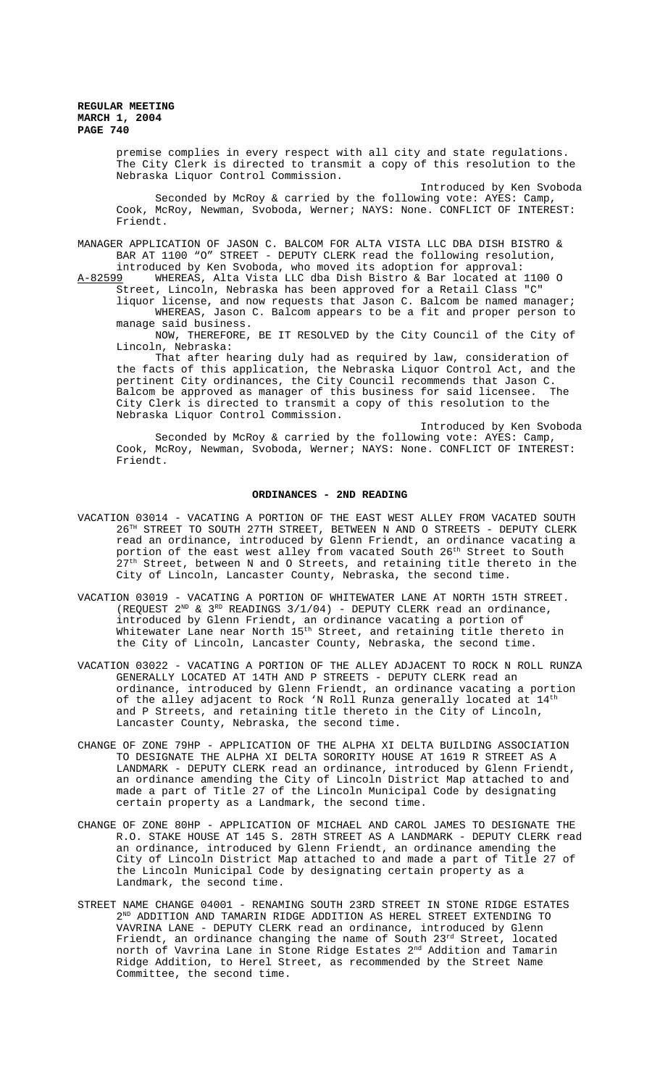> premise complies in every respect with all city and state regulations. The City Clerk is directed to transmit a copy of this resolution to the Nebraska Liquor Control Commission.

Introduced by Ken Svoboda Seconded by McRoy & carried by the following vote: AYES: Camp, Cook, McRoy, Newman, Svoboda, Werner; NAYS: None. CONFLICT OF INTEREST: Friendt.

MANAGER APPLICATION OF JASON C. BALCOM FOR ALTA VISTA LLC DBA DISH BISTRO & BAR AT 1100 "O" STREET - DEPUTY CLERK read the following resolution,

introduced by Ken Svoboda, who moved its adoption for approval:<br>A-82599 WHEREAS, Alta Vista LLC dba Dish Bistro & Bar located at WHEREAS, Alta Vista LLC dba Dish Bistro & Bar located at 1100 O Street, Lincoln, Nebraska has been approved for a Retail Class "C" liquor license, and now requests that Jason C. Balcom be named manager;

WHEREAS, Jason C. Balcom appears to be a fit and proper person to manage said business.

NOW, THEREFORE, BE IT RESOLVED by the City Council of the City of Lincoln, Nebraska:

That after hearing duly had as required by law, consideration of the facts of this application, the Nebraska Liquor Control Act, and the pertinent City ordinances, the City Council recommends that Jason C.<br>Balcom be approved as manager of this business for said licensee. The Balcom be approved as manager of this business for said licensee. City Clerk is directed to transmit a copy of this resolution to the Nebraska Liquor Control Commission.

Introduced by Ken Svoboda Seconded by McRoy & carried by the following vote: AYES: Camp, Cook, McRoy, Newman, Svoboda, Werner; NAYS: None. CONFLICT OF INTEREST: Friendt.

#### **ORDINANCES - 2ND READING**

- VACATION 03014 VACATING A PORTION OF THE EAST WEST ALLEY FROM VACATED SOUTH 26TH STREET TO SOUTH 27TH STREET, BETWEEN N AND O STREETS - DEPUTY CLERK read an ordinance, introduced by Glenn Friendt, an ordinance vacating a portion of the east west alley from vacated South 26<sup>th</sup> Street to South Street, between N and O Streets, and retaining title thereto in the City of Lincoln, Lancaster County, Nebraska, the second time.
- VACATION 03019 VACATING A PORTION OF WHITEWATER LANE AT NORTH 15TH STREET. (REQUEST  $2^{ND}$  &  $3^{RD}$  READINGS  $3/1/04$ ) - DEPUTY CLERK read an ordinance, introduced by Glenn Friendt, an ordinance vacating a portion of Whitewater Lane near North  $15^{\rm th}$  Street, and retaining title thereto in the City of Lincoln, Lancaster County, Nebraska, the second time.
- VACATION 03022 VACATING A PORTION OF THE ALLEY ADJACENT TO ROCK N ROLL RUNZA GENERALLY LOCATED AT 14TH AND P STREETS - DEPUTY CLERK read an ordinance, introduced by Glenn Friendt, an ordinance vacating a portion of the alley adjacent to Rock 'N Roll Runza generally located at 14th and P Streets, and retaining title thereto in the City of Lincoln, Lancaster County, Nebraska, the second time.
- CHANGE OF ZONE 79HP APPLICATION OF THE ALPHA XI DELTA BUILDING ASSOCIATION TO DESIGNATE THE ALPHA XI DELTA SORORITY HOUSE AT 1619 R STREET AS A LANDMARK - DEPUTY CLERK read an ordinance, introduced by Glenn Friendt, an ordinance amending the City of Lincoln District Map attached to and made a part of Title 27 of the Lincoln Municipal Code by designating certain property as a Landmark, the second time.
- CHANGE OF ZONE 80HP APPLICATION OF MICHAEL AND CAROL JAMES TO DESIGNATE THE R.O. STAKE HOUSE AT 145 S. 28TH STREET AS A LANDMARK - DEPUTY CLERK read an ordinance, introduced by Glenn Friendt, an ordinance amending the City of Lincoln District Map attached to and made a part of Title 27 of the Lincoln Municipal Code by designating certain property as a Landmark, the second time.
- STREET NAME CHANGE 04001 RENAMING SOUTH 23RD STREET IN STONE RIDGE ESTATES  $2^{ND}$  ADDITION AND TAMARIN RIDGE ADDITION AS HEREL STREET EXTENDING TO VAVRINA LANE - DEPUTY CLERK read an ordinance, introduced by Glenn Friendt, an ordinance changing the name of South 23<sup>rd</sup> Street, located north of Vavrina Lane in Stone Ridge Estates 2nd Addition and Tamarin Ridge Addition, to Herel Street, as recommended by the Street Name Committee, the second time.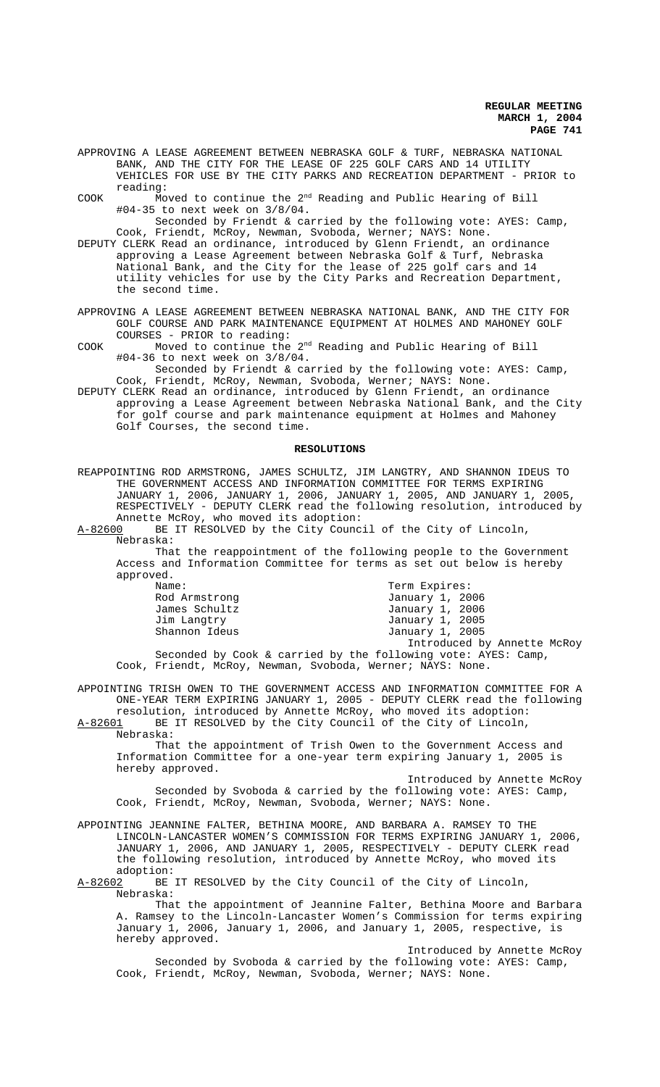APPROVING A LEASE AGREEMENT BETWEEN NEBRASKA GOLF & TURF, NEBRASKA NATIONAL BANK, AND THE CITY FOR THE LEASE OF 225 GOLF CARS AND 14 UTILITY VEHICLES FOR USE BY THE CITY PARKS AND RECREATION DEPARTMENT - PRIOR to reading:

COOK Moved to continue the 2<sup>nd</sup> Reading and Public Hearing of Bill #04-35 to next week on 3/8/04.

Seconded by Friendt & carried by the following vote: AYES: Camp, Cook, Friendt, McRoy, Newman, Svoboda, Werner; NAYS: None.

DEPUTY CLERK Read an ordinance, introduced by Glenn Friendt, an ordinance approving a Lease Agreement between Nebraska Golf & Turf, Nebraska National Bank, and the City for the lease of 225 golf cars and 14 utility vehicles for use by the City Parks and Recreation Department, the second time.

APPROVING A LEASE AGREEMENT BETWEEN NEBRASKA NATIONAL BANK, AND THE CITY FOR GOLF COURSE AND PARK MAINTENANCE EQUIPMENT AT HOLMES AND MAHONEY GOLF COURSES - PRIOR to reading:

COOK Moved to continue the 2nd Reading and Public Hearing of Bill #04-36 to next week on 3/8/04.

Seconded by Friendt & carried by the following vote: AYES: Camp, Cook, Friendt, McRoy, Newman, Svoboda, Werner; NAYS: None.

DEPUTY CLERK Read an ordinance, introduced by Glenn Friendt, an ordinance approving a Lease Agreement between Nebraska National Bank, and the City for golf course and park maintenance equipment at Holmes and Mahoney Golf Courses, the second time.

#### **RESOLUTIONS**

REAPPOINTING ROD ARMSTRONG, JAMES SCHULTZ, JIM LANGTRY, AND SHANNON IDEUS TO THE GOVERNMENT ACCESS AND INFORMATION COMMITTEE FOR TERMS EXPIRING JANUARY 1, 2006, JANUARY 1, 2006, JANUARY 1, 2005, AND JANUARY 1, 2005, RESPECTIVELY - DEPUTY CLERK read the following resolution, introduced by Annette McRoy, who moved its adoption:<br>A-82600 BE IT RESOLVED by the City Counc

BE IT RESOLVED by the City Council of the City of Lincoln, Nebraska:

That the reappointment of the following people to the Government Access and Information Committee for terms as set out below is hereby approved.

| Name:                                                         | Term Expires:               |
|---------------------------------------------------------------|-----------------------------|
| Rod Armstrong                                                 | January 1, 2006             |
| James Schultz                                                 | January 1, 2006             |
| Jim Langtry                                                   | January 1, 2005             |
| Shannon Ideus                                                 | January 1, 2005             |
|                                                               | Introduced by Annette McRoy |
| Concepted by Cool C sounded by the following water AVDO: Comp |                             |

Seconded by Cook & carried by the following vote: AYES: Camp, Cook, Friendt, McRoy, Newman, Svoboda, Werner; NAYS: None.

APPOINTING TRISH OWEN TO THE GOVERNMENT ACCESS AND INFORMATION COMMITTEE FOR A ONE-YEAR TERM EXPIRING JANUARY 1, 2005 - DEPUTY CLERK read the following resolution, introduced by Annette McRoy, who moved its adoption: A-82601 BE IT RESOLVED by the City Council of the City of Lincoln,

Nebraska:

That the appointment of Trish Owen to the Government Access and Information Committee for a one-year term expiring January 1, 2005 is hereby approved.

Introduced by Annette McRoy Seconded by Svoboda & carried by the following vote: AYES: Camp, Cook, Friendt, McRoy, Newman, Svoboda, Werner; NAYS: None.

APPOINTING JEANNINE FALTER, BETHINA MOORE, AND BARBARA A. RAMSEY TO THE LINCOLN-LANCASTER WOMEN'S COMMISSION FOR TERMS EXPIRING JANUARY 1, 2006, JANUARY 1, 2006, AND JANUARY 1, 2005, RESPECTIVELY - DEPUTY CLERK read the following resolution, introduced by Annette McRoy, who moved its adoption:<br>A-82602 BE

BE IT RESOLVED by the City Council of the City of Lincoln, Nebraska:

That the appointment of Jeannine Falter, Bethina Moore and Barbara A. Ramsey to the Lincoln-Lancaster Women's Commission for terms expiring January 1, 2006, January 1, 2006, and January 1, 2005, respective, is hereby approved.

Introduced by Annette McRoy Seconded by Svoboda & carried by the following vote: AYES: Camp, Cook, Friendt, McRoy, Newman, Svoboda, Werner; NAYS: None.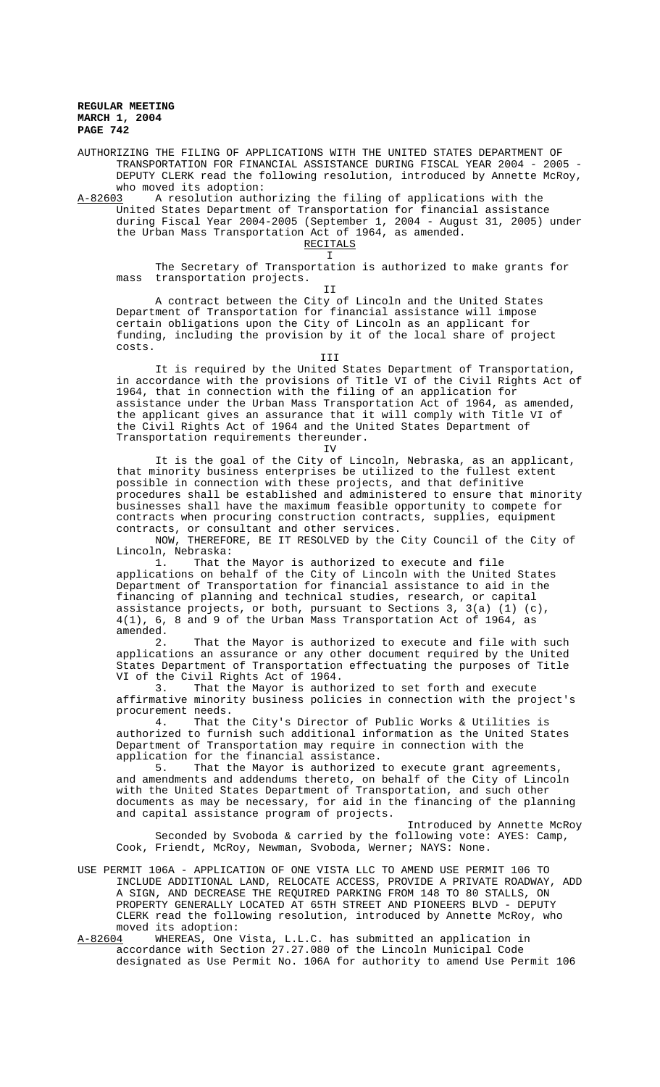AUTHORIZING THE FILING OF APPLICATIONS WITH THE UNITED STATES DEPARTMENT OF TRANSPORTATION FOR FINANCIAL ASSISTANCE DURING FISCAL YEAR 2004 - 2005 - DEPUTY CLERK read the following resolution, introduced by Annette McRoy, who moved its adoption:

A-82603 A resolution authorizing the filing of applications with the United States Department of Transportation for financial assistance during Fiscal Year 2004-2005 (September 1, 2004 - August 31, 2005) under the Urban Mass Transportation Act of 1964, as amended. RECITALS

I

The Secretary of Transportation is authorized to make grants for mass transportation projects. II

A contract between the City of Lincoln and the United States Department of Transportation for financial assistance will impose certain obligations upon the City of Lincoln as an applicant for funding, including the provision by it of the local share of project costs.

III

It is required by the United States Department of Transportation, in accordance with the provisions of Title VI of the Civil Rights Act of 1964, that in connection with the filing of an application for assistance under the Urban Mass Transportation Act of 1964, as amended, the applicant gives an assurance that it will comply with Title VI of the Civil Rights Act of 1964 and the United States Department of Transportation requirements thereunder.

IV

It is the goal of the City of Lincoln, Nebraska, as an applicant, that minority business enterprises be utilized to the fullest extent possible in connection with these projects, and that definitive procedures shall be established and administered to ensure that minority businesses shall have the maximum feasible opportunity to compete for contracts when procuring construction contracts, supplies, equipment contracts, or consultant and other services.

NOW, THEREFORE, BE IT RESOLVED by the City Council of the City of Lincoln, Nebraska:

1. That the Mayor is authorized to execute and file applications on behalf of the City of Lincoln with the United States Department of Transportation for financial assistance to aid in the financing of planning and technical studies, research, or capital assistance projects, or both, pursuant to Sections 3, 3(a) (1) (c), 4(1), 6, 8 and 9 of the Urban Mass Transportation Act of 1964, as amended.

2. That the Mayor is authorized to execute and file with such applications an assurance or any other document required by the United States Department of Transportation effectuating the purposes of Title VI of the Civil Rights Act of 1964.<br>3. That the Mayor is autho:

That the Mayor is authorized to set forth and execute affirmative minority business policies in connection with the project's procurement needs.

4. That the City's Director of Public Works & Utilities is authorized to furnish such additional information as the United States Department of Transportation may require in connection with the application for the financial assistance.

5. That the Mayor is authorized to execute grant agreements, and amendments and addendums thereto, on behalf of the City of Lincoln with the United States Department of Transportation, and such other documents as may be necessary, for aid in the financing of the planning and capital assistance program of projects.

Introduced by Annette McRoy Seconded by Svoboda & carried by the following vote: AYES: Camp, Cook, Friendt, McRoy, Newman, Svoboda, Werner; NAYS: None.

- USE PERMIT 106A APPLICATION OF ONE VISTA LLC TO AMEND USE PERMIT 106 TO INCLUDE ADDITIONAL LAND, RELOCATE ACCESS, PROVIDE A PRIVATE ROADWAY, ADD A SIGN, AND DECREASE THE REQUIRED PARKING FROM 148 TO 80 STALLS, ON PROPERTY GENERALLY LOCATED AT 65TH STREET AND PIONEERS BLVD - DEPUTY CLERK read the following resolution, introduced by Annette McRoy, who moved its adoption:
- A-82604 WHEREAS, One Vista, L.L.C. has submitted an application in accordance with Section 27.27.080 of the Lincoln Municipal Code designated as Use Permit No. 106A for authority to amend Use Permit 106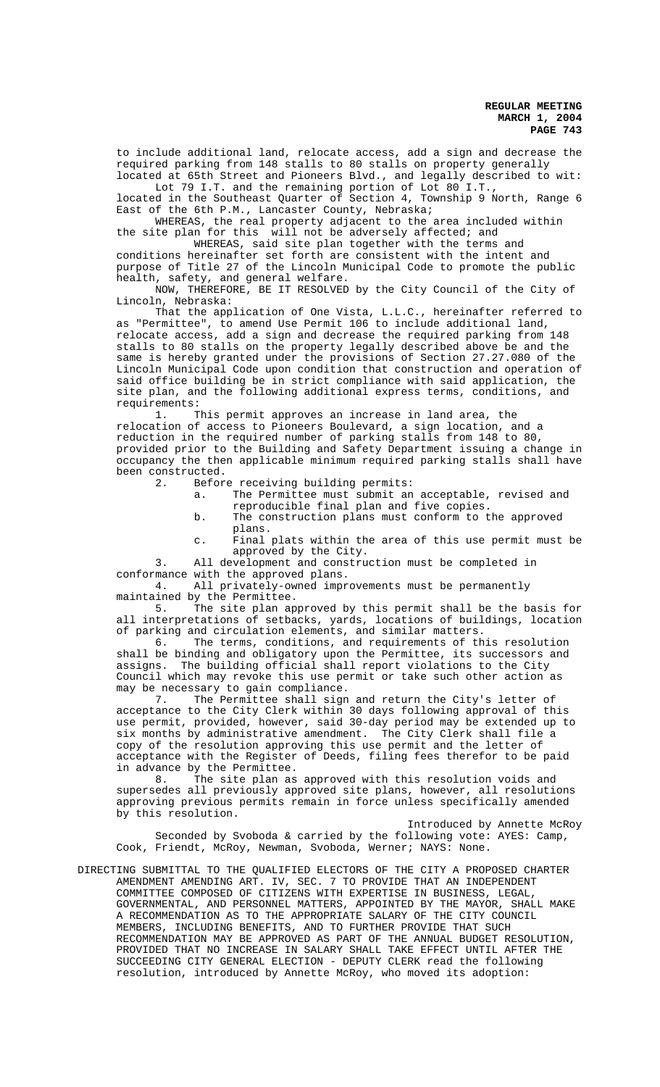to include additional land, relocate access, add a sign and decrease the required parking from 148 stalls to 80 stalls on property generally located at 65th Street and Pioneers Blvd., and legally described to wit:

Lot 79 I.T. and the remaining portion of Lot 80 I.T., located in the Southeast Quarter of Section 4, Township 9 North, Range 6 East of the 6th P.M., Lancaster County, Nebraska;

WHEREAS, the real property adjacent to the area included within the site plan for this will not be adversely affected; and

WHEREAS, said site plan together with the terms and conditions hereinafter set forth are consistent with the intent and purpose of Title 27 of the Lincoln Municipal Code to promote the public health, safety, and general welfare.

NOW, THEREFORE, BE IT RESOLVED by the City Council of the City of Lincoln, Nebraska:

That the application of One Vista, L.L.C., hereinafter referred to as "Permittee", to amend Use Permit 106 to include additional land, relocate access, add a sign and decrease the required parking from 148 stalls to 80 stalls on the property legally described above be and the same is hereby granted under the provisions of Section 27.27.080 of the Lincoln Municipal Code upon condition that construction and operation of said office building be in strict compliance with said application, the site plan, and the following additional express terms, conditions, and requirements:

1. This permit approves an increase in land area, the relocation of access to Pioneers Boulevard, a sign location, and a reduction in the required number of parking stalls from 148 to 80, provided prior to the Building and Safety Department issuing a change in occupancy the then applicable minimum required parking stalls shall have been constructed.

2. Before receiving building permits:

- a. The Permittee must submit an acceptable, revised and reproducible final plan and five copies.
- b. The construction plans must conform to the approved plans.
- c. Final plats within the area of this use permit must be approved by the City.

3. All development and construction must be completed in conformance with the approved plans.<br>4. All privately-owned impr

All privately-owned improvements must be permanently

maintained by the Permittee.<br>5. The site plan ap The site plan approved by this permit shall be the basis for all interpretations of setbacks, yards, locations of buildings, location of parking and circulation elements, and similar matters.

6. The terms, conditions, and requirements of this resolution shall be binding and obligatory upon the Permittee, its successors and assigns. The building official shall report violations to the City Council which may revoke this use permit or take such other action as may be necessary to gain compliance.

7. The Permittee shall sign and return the City's letter of acceptance to the City Clerk within 30 days following approval of this use permit, provided, however, said 30-day period may be extended up to six months by administrative amendment. The City Clerk shall file a copy of the resolution approving this use permit and the letter of acceptance with the Register of Deeds, filing fees therefor to be paid in advance by the Permittee.

8. The site plan as approved with this resolution voids and supersedes all previously approved site plans, however, all resolutions approving previous permits remain in force unless specifically amended by this resolution.

Introduced by Annette McRoy Seconded by Svoboda & carried by the following vote: AYES: Camp, Cook, Friendt, McRoy, Newman, Svoboda, Werner; NAYS: None.

DIRECTING SUBMITTAL TO THE QUALIFIED ELECTORS OF THE CITY A PROPOSED CHARTER AMENDMENT AMENDING ART. IV, SEC. 7 TO PROVIDE THAT AN INDEPENDENT COMMITTEE COMPOSED OF CITIZENS WITH EXPERTISE IN BUSINESS, LEGAL, GOVERNMENTAL, AND PERSONNEL MATTERS, APPOINTED BY THE MAYOR, SHALL MAKE A RECOMMENDATION AS TO THE APPROPRIATE SALARY OF THE CITY COUNCIL MEMBERS, INCLUDING BENEFITS, AND TO FURTHER PROVIDE THAT SUCH RECOMMENDATION MAY BE APPROVED AS PART OF THE ANNUAL BUDGET RESOLUTION, PROVIDED THAT NO INCREASE IN SALARY SHALL TAKE EFFECT UNTIL AFTER THE SUCCEEDING CITY GENERAL ELECTION - DEPUTY CLERK read the following resolution, introduced by Annette McRoy, who moved its adoption: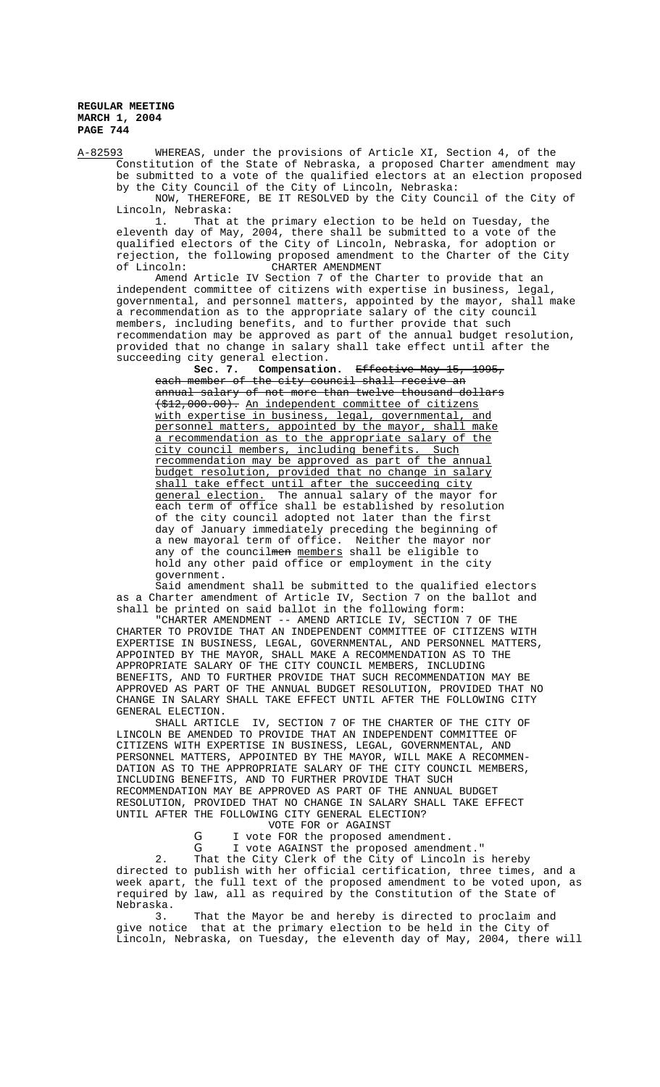A-82593 WHEREAS, under the provisions of Article XI, Section 4, of the Constitution of the State of Nebraska, a proposed Charter amendment may be submitted to a vote of the qualified electors at an election proposed by the City Council of the City of Lincoln, Nebraska:

NOW, THEREFORE, BE IT RESOLVED by the City Council of the City of Lincoln, Nebraska:

1. That at the primary election to be held on Tuesday, the eleventh day of May, 2004, there shall be submitted to a vote of the qualified electors of the City of Lincoln, Nebraska, for adoption or rejection, the following proposed amendment to the Charter of the City<br>of Lincoln: CHARTER AMENDMENT CHARTER AMENDMENT

Amend Article IV Section 7 of the Charter to provide that an independent committee of citizens with expertise in business, legal, governmental, and personnel matters, appointed by the mayor, shall make a recommendation as to the appropriate salary of the city council members, including benefits, and to further provide that such recommendation may be approved as part of the annual budget resolution, provided that no change in salary shall take effect until after the succeeding city general election.<br>**Sec. 7.** Compensation.

**Sec. 7. Compensation.** Effective May 15, 1995, each member of the city council shall receive an annual salary of not more than twelve thousand dollars (\$12,000.00). An independent committee of citizens with expertise in business, legal, governmental, and personnel matters, appointed by the mayor, shall make a recommendation as to the appropriate salary of the city council members, including benefits. Such recommendation may be approved as part of the annual budget resolution, provided that no change in salary shall take effect until after the succeeding city general election. The annual salary of the mayor for each term of office shall be established by resolution of the city council adopted not later than the first day of January immediately preceding the beginning of a new mayoral term of office. Neither the mayor nor any of the councilmen members shall be eligible to hold any other paid office or employment in the city government.

Said amendment shall be submitted to the qualified electors as a Charter amendment of Article IV, Section 7 on the ballot and shall be printed on said ballot in the following form:

"CHARTER AMENDMENT -- AMEND ARTICLE IV, SECTION 7 OF THE CHARTER TO PROVIDE THAT AN INDEPENDENT COMMITTEE OF CITIZENS WITH EXPERTISE IN BUSINESS, LEGAL, GOVERNMENTAL, AND PERSONNEL MATTERS, APPOINTED BY THE MAYOR, SHALL MAKE A RECOMMENDATION AS TO THE APPROPRIATE SALARY OF THE CITY COUNCIL MEMBERS, INCLUDING BENEFITS, AND TO FURTHER PROVIDE THAT SUCH RECOMMENDATION MAY BE APPROVED AS PART OF THE ANNUAL BUDGET RESOLUTION, PROVIDED THAT NO CHANGE IN SALARY SHALL TAKE EFFECT UNTIL AFTER THE FOLLOWING CITY GENERAL ELECTION.

SHALL ARTICLE IV, SECTION 7 OF THE CHARTER OF THE CITY OF LINCOLN BE AMENDED TO PROVIDE THAT AN INDEPENDENT COMMITTEE OF CITIZENS WITH EXPERTISE IN BUSINESS, LEGAL, GOVERNMENTAL, AND PERSONNEL MATTERS, APPOINTED BY THE MAYOR, WILL MAKE A RECOMMEN-DATION AS TO THE APPROPRIATE SALARY OF THE CITY COUNCIL MEMBERS, INCLUDING BENEFITS, AND TO FURTHER PROVIDE THAT SUCH RECOMMENDATION MAY BE APPROVED AS PART OF THE ANNUAL BUDGET RESOLUTION, PROVIDED THAT NO CHANGE IN SALARY SHALL TAKE EFFECT UNTIL AFTER THE FOLLOWING CITY GENERAL ELECTION?

VOTE FOR or AGAINST

G I vote FOR the proposed amendment.

G I vote AGAINST the proposed amendment." 2. That the City Clerk of the City of Lincoln is hereby directed to publish with her official certification, three times, and a week apart, the full text of the proposed amendment to be voted upon, as required by law, all as required by the Constitution of the State of Nebraska.<br>3.

That the Mayor be and hereby is directed to proclaim and give notice that at the primary election to be held in the City of Lincoln, Nebraska, on Tuesday, the eleventh day of May, 2004, there will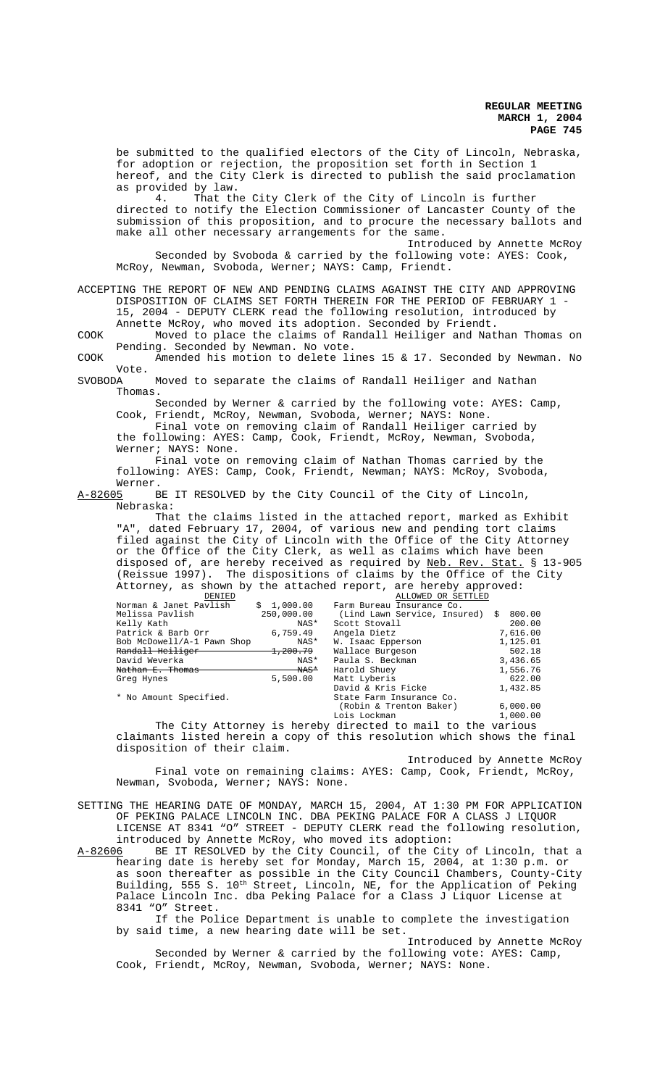be submitted to the qualified electors of the City of Lincoln, Nebraska, for adoption or rejection, the proposition set forth in Section 1 hereof, and the City Clerk is directed to publish the said proclamation as provided by law.<br>4. That th

That the City Clerk of the City of Lincoln is further directed to notify the Election Commissioner of Lancaster County of the submission of this proposition, and to procure the necessary ballots and make all other necessary arrangements for the same.

Introduced by Annette McRoy Seconded by Svoboda & carried by the following vote: AYES: Cook, McRoy, Newman, Svoboda, Werner; NAYS: Camp, Friendt.

ACCEPTING THE REPORT OF NEW AND PENDING CLAIMS AGAINST THE CITY AND APPROVING DISPOSITION OF CLAIMS SET FORTH THEREIN FOR THE PERIOD OF FEBRUARY 1 - 15, 2004 - DEPUTY CLERK read the following resolution, introduced by

Annette McRoy, who moved its adoption. Seconded by Friendt.

COOK Moved to place the claims of Randall Heiliger and Nathan Thomas on Pending. Seconded by Newman. No vote.

COOK Amended his motion to delete lines 15 & 17. Seconded by Newman. No Vote.<br>SVOBODA

Moved to separate the claims of Randall Heiliger and Nathan Thomas.

 Seconded by Werner & carried by the following vote: AYES: Camp, Cook, Friendt, McRoy, Newman, Svoboda, Werner; NAYS: None.

Final vote on removing claim of Randall Heiliger carried by the following: AYES: Camp, Cook, Friendt, McRoy, Newman, Svoboda, Werner; NAYS: None.

Final vote on removing claim of Nathan Thomas carried by the following: AYES: Camp, Cook, Friendt, Newman; NAYS: McRoy, Svoboda,

Werner.<br>A-82605 B BE IT RESOLVED by the City Council of the City of Lincoln, Nebraska:

That the claims listed in the attached report, marked as Exhibit "A", dated February 17, 2004, of various new and pending tort claims filed against the City of Lincoln with the Office of the City Attorney or the Office of the City Clerk, as well as claims which have been disposed of, are hereby received as required by <u>Neb. Rev. Stat.</u> § 13-905 (Reissue 1997). The dispositions of claims by the Office of the City Attorney, as shown by the attached report, are hereby approved:

| DENIED                     |                     | ALLOWED OR SETTLED           |             |
|----------------------------|---------------------|------------------------------|-------------|
| Norman & Janet Pavlish     | \$1,000.00          | Farm Bureau Insurance Co.    |             |
| Melissa Pavlish            | 250,000.00          | (Lind Lawn Service, Insured) | 800.00<br>S |
| Kelly Kath                 | NAS*                | Scott Stovall                | 200.00      |
| Patrick & Barb Orr         | 6,759.49            | Angela Dietz                 | 7,616.00    |
| Bob McDowell/A-1 Pawn Shop | NAS*                | W. Isaac Epperson            | 1,125.01    |
| Randall Heiliger           | <del>1,200.79</del> | Wallace Burgeson             | 502.18      |
| David Weverka              | NAS*                | Paula S. Beckman             | 3,436.65    |
| Nathan E. Thomas           | $\text{WAS}^*$      | Harold Shuey                 | 1,556.76    |
| Greg Hynes                 | 5,500.00            | Matt Lyberis                 | 622.00      |
|                            |                     | David & Kris Ficke           | 1,432.85    |
| * No Amount Specified.     |                     | State Farm Insurance Co.     |             |
|                            |                     | (Robin & Trenton Baker)      | 6,000.00    |
|                            |                     | Lois Lockman                 | 1,000.00    |

The City Attorney is hereby directed to mail to the various claimants listed herein a copy of this resolution which shows the final disposition of their claim.

Introduced by Annette McRoy Final vote on remaining claims: AYES: Camp, Cook, Friendt, McRoy, Newman, Svoboda, Werner; NAYS: None.

SETTING THE HEARING DATE OF MONDAY, MARCH 15, 2004, AT 1:30 PM FOR APPLICATION OF PEKING PALACE LINCOLN INC. DBA PEKING PALACE FOR A CLASS J LIQUOR LICENSE AT 8341 "O" STREET - DEPUTY CLERK read the following resolution, introduced by Annette McRoy, who moved its adoption:

A-82606 BE IT RESOLVED by the City Council, of the City of Lincoln, that a hearing date is hereby set for Monday, March 15, 2004, at 1:30 p.m. or as soon thereafter as possible in the City Council Chambers, County-City Building, 555 S.  $10^{\text{th}}$  Street, Lincoln, NE, for the Application of Peking Palace Lincoln Inc. dba Peking Palace for a Class J Liquor License at 8341 "O" Street.

If the Police Department is unable to complete the investigation by said time, a new hearing date will be set.

Introduced by Annette McRoy Seconded by Werner & carried by the following vote: AYES: Camp, Cook, Friendt, McRoy, Newman, Svoboda, Werner; NAYS: None.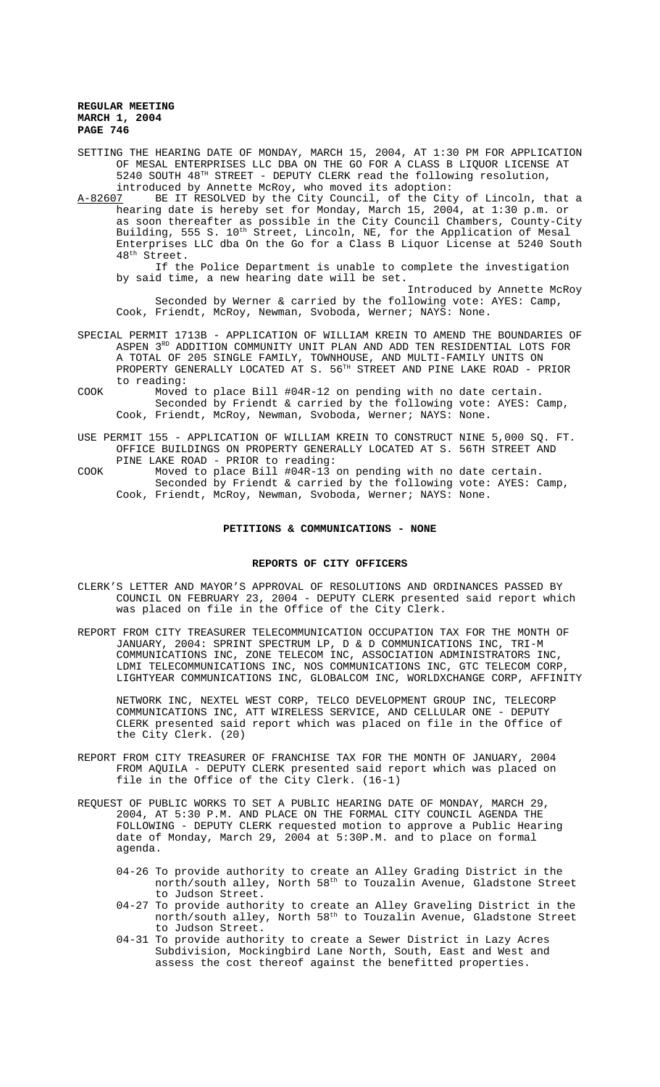SETTING THE HEARING DATE OF MONDAY, MARCH 15, 2004, AT 1:30 PM FOR APPLICATION OF MESAL ENTERPRISES LLC DBA ON THE GO FOR A CLASS B LIQUOR LICENSE AT 5240 SOUTH 48TH STREET - DEPUTY CLERK read the following resolution, introduced by Annette McRoy, who moved its adoption:

A-82607 BE IT RESOLVED by the City Council, of the City of Lincoln, that a hearing date is hereby set for Monday, March 15, 2004, at 1:30 p.m. or as soon thereafter as possible in the City Council Chambers, County-City Building, 555 S. 10<sup>th</sup> Street, Lincoln, NE, for the Application of Mesal Enterprises LLC dba On the Go for a Class B Liquor License at 5240 South 48<sup>th</sup> Street.

If the Police Department is unable to complete the investigation by said time, a new hearing date will be set.

Introduced by Annette McRoy Seconded by Werner & carried by the following vote: AYES: Camp, Cook, Friendt, McRoy, Newman, Svoboda, Werner; NAYS: None.

SPECIAL PERMIT 1713B - APPLICATION OF WILLIAM KREIN TO AMEND THE BOUNDARIES OF ASPEN 3<sup>RD</sup> ADDITION COMMUNITY UNIT PLAN AND ADD TEN RESIDENTIAL LOTS FOR A TOTAL OF 205 SINGLE FAMILY, TOWNHOUSE, AND MULTI-FAMILY UNITS ON PROPERTY GENERALLY LOCATED AT S. 56TH STREET AND PINE LAKE ROAD - PRIOR to reading:

- COOK Moved to place Bill #04R-12 on pending with no date certain. Seconded by Friendt & carried by the following vote: AYES: Camp, Cook, Friendt, McRoy, Newman, Svoboda, Werner; NAYS: None.
- USE PERMIT 155 APPLICATION OF WILLIAM KREIN TO CONSTRUCT NINE 5,000 SQ. FT. OFFICE BUILDINGS ON PROPERTY GENERALLY LOCATED AT S. 56TH STREET AND PINE LAKE ROAD - PRIOR to reading:
- COOK Moved to place Bill #04R-13 on pending with no date certain. Seconded by Friendt & carried by the following vote: AYES: Camp, Cook, Friendt, McRoy, Newman, Svoboda, Werner; NAYS: None.

#### **PETITIONS & COMMUNICATIONS - NONE**

#### **REPORTS OF CITY OFFICERS**

- CLERK'S LETTER AND MAYOR'S APPROVAL OF RESOLUTIONS AND ORDINANCES PASSED BY COUNCIL ON FEBRUARY 23, 2004 - DEPUTY CLERK presented said report which was placed on file in the Office of the City Clerk.
- REPORT FROM CITY TREASURER TELECOMMUNICATION OCCUPATION TAX FOR THE MONTH OF JANUARY, 2004: SPRINT SPECTRUM LP, D & D COMMUNICATIONS INC, TRI-M COMMUNICATIONS INC, ZONE TELECOM INC, ASSOCIATION ADMINISTRATORS INC, LDMI TELECOMMUNICATIONS INC, NOS COMMUNICATIONS INC, GTC TELECOM CORP, LIGHTYEAR COMMUNICATIONS INC, GLOBALCOM INC, WORLDXCHANGE CORP, AFFINITY

NETWORK INC, NEXTEL WEST CORP, TELCO DEVELOPMENT GROUP INC, TELECORP COMMUNICATIONS INC, ATT WIRELESS SERVICE, AND CELLULAR ONE - DEPUTY CLERK presented said report which was placed on file in the Office of the City Clerk. (20)

- REPORT FROM CITY TREASURER OF FRANCHISE TAX FOR THE MONTH OF JANUARY, 2004 FROM AQUILA - DEPUTY CLERK presented said report which was placed on file in the Office of the City Clerk. (16-1)
- REQUEST OF PUBLIC WORKS TO SET A PUBLIC HEARING DATE OF MONDAY, MARCH 29, 2004, AT 5:30 P.M. AND PLACE ON THE FORMAL CITY COUNCIL AGENDA THE FOLLOWING - DEPUTY CLERK requested motion to approve a Public Hearing date of Monday, March 29, 2004 at 5:30P.M. and to place on formal agenda.
	- 04-26 To provide authority to create an Alley Grading District in the north/south alley, North 58<sup>th</sup> to Touzalin Avenue, Gladstone Street to Judson Street.
	- 04-27 To provide authority to create an Alley Graveling District in the north/south alley, North 58th to Touzalin Avenue, Gladstone Street to Judson Street.
	- 04-31 To provide authority to create a Sewer District in Lazy Acres Subdivision, Mockingbird Lane North, South, East and West and assess the cost thereof against the benefitted properties.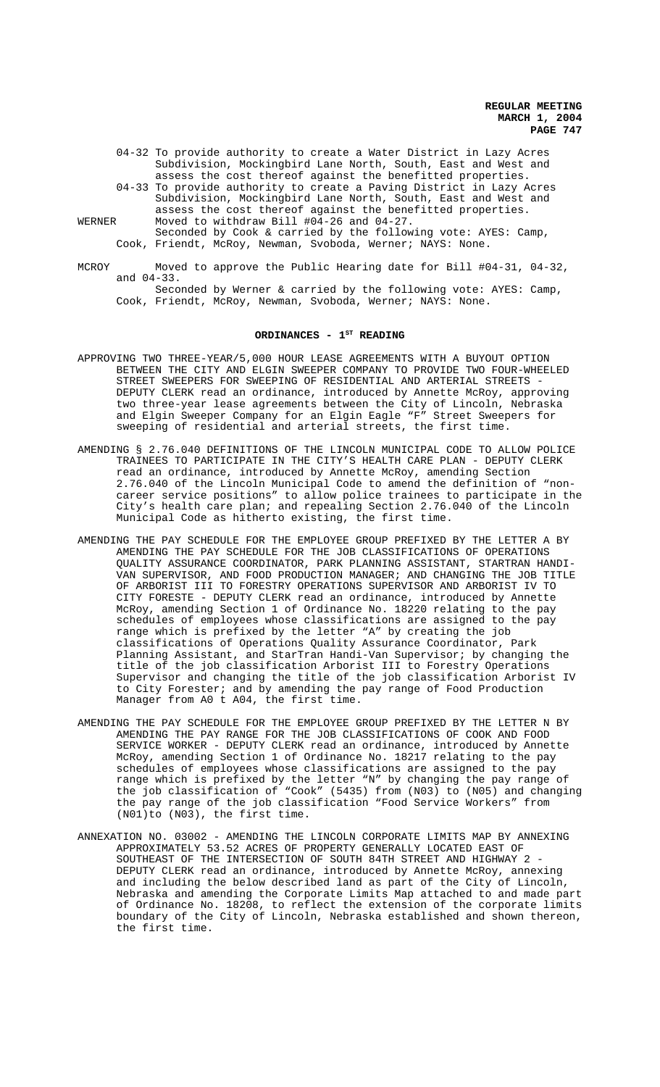- 04-32 To provide authority to create a Water District in Lazy Acres Subdivision, Mockingbird Lane North, South, East and West and assess the cost thereof against the benefitted properties.
- 04-33 To provide authority to create a Paving District in Lazy Acres Subdivision, Mockingbird Lane North, South, East and West and assess the cost thereof against the benefitted properties. WERNER Moved to withdraw Bill #04-26 and 04-27.
	- Seconded by Cook & carried by the following vote: AYES: Camp, Cook, Friendt, McRoy, Newman, Svoboda, Werner; NAYS: None.
- MCROY Moved to approve the Public Hearing date for Bill #04-31, 04-32, and 04-33. Seconded by Werner & carried by the following vote: AYES: Camp,

Cook, Friendt, McRoy, Newman, Svoboda, Werner; NAYS: None.

# ORDINANCES - 1<sup>st</sup> READING

- APPROVING TWO THREE-YEAR/5,000 HOUR LEASE AGREEMENTS WITH A BUYOUT OPTION BETWEEN THE CITY AND ELGIN SWEEPER COMPANY TO PROVIDE TWO FOUR-WHEELED STREET SWEEPERS FOR SWEEPING OF RESIDENTIAL AND ARTERIAL STREETS - DEPUTY CLERK read an ordinance, introduced by Annette McRoy, approving two three-year lease agreements between the City of Lincoln, Nebraska and Elgin Sweeper Company for an Elgin Eagle "F" Street Sweepers for sweeping of residential and arterial streets, the first time.
- AMENDING § 2.76.040 DEFINITIONS OF THE LINCOLN MUNICIPAL CODE TO ALLOW POLICE TRAINEES TO PARTICIPATE IN THE CITY'S HEALTH CARE PLAN - DEPUTY CLERK read an ordinance, introduced by Annette McRoy, amending Section 2.76.040 of the Lincoln Municipal Code to amend the definition of "noncareer service positions" to allow police trainees to participate in the City's health care plan; and repealing Section 2.76.040 of the Lincoln Municipal Code as hitherto existing, the first time.
- AMENDING THE PAY SCHEDULE FOR THE EMPLOYEE GROUP PREFIXED BY THE LETTER A BY AMENDING THE PAY SCHEDULE FOR THE JOB CLASSIFICATIONS OF OPERATIONS QUALITY ASSURANCE COORDINATOR, PARK PLANNING ASSISTANT, STARTRAN HANDI-VAN SUPERVISOR, AND FOOD PRODUCTION MANAGER; AND CHANGING THE JOB TITLE OF ARBORIST III TO FORESTRY OPERATIONS SUPERVISOR AND ARBORIST IV TO CITY FORESTE - DEPUTY CLERK read an ordinance, introduced by Annette McRoy, amending Section 1 of Ordinance No. 18220 relating to the pay schedules of employees whose classifications are assigned to the pay range which is prefixed by the letter "A" by creating the job classifications of Operations Quality Assurance Coordinator, Park Planning Assistant, and StarTran Handi-Van Supervisor; by changing the title of the job classification Arborist III to Forestry Operations Supervisor and changing the title of the job classification Arborist IV to City Forester; and by amending the pay range of Food Production Manager from A0 t A04, the first time.
- AMENDING THE PAY SCHEDULE FOR THE EMPLOYEE GROUP PREFIXED BY THE LETTER N BY AMENDING THE PAY RANGE FOR THE JOB CLASSIFICATIONS OF COOK AND FOOD SERVICE WORKER - DEPUTY CLERK read an ordinance, introduced by Annette McRoy, amending Section 1 of Ordinance No. 18217 relating to the pay schedules of employees whose classifications are assigned to the pay range which is prefixed by the letter "N" by changing the pay range of the job classification of "Cook" (5435) from (N03) to (N05) and changing the pay range of the job classification "Food Service Workers" from (N01)to (N03), the first time.
- ANNEXATION NO. 03002 AMENDING THE LINCOLN CORPORATE LIMITS MAP BY ANNEXING APPROXIMATELY 53.52 ACRES OF PROPERTY GENERALLY LOCATED EAST OF SOUTHEAST OF THE INTERSECTION OF SOUTH 84TH STREET AND HIGHWAY 2 DEPUTY CLERK read an ordinance, introduced by Annette McRoy, annexing and including the below described land as part of the City of Lincoln, Nebraska and amending the Corporate Limits Map attached to and made part of Ordinance No. 18208, to reflect the extension of the corporate limits boundary of the City of Lincoln, Nebraska established and shown thereon, the first time.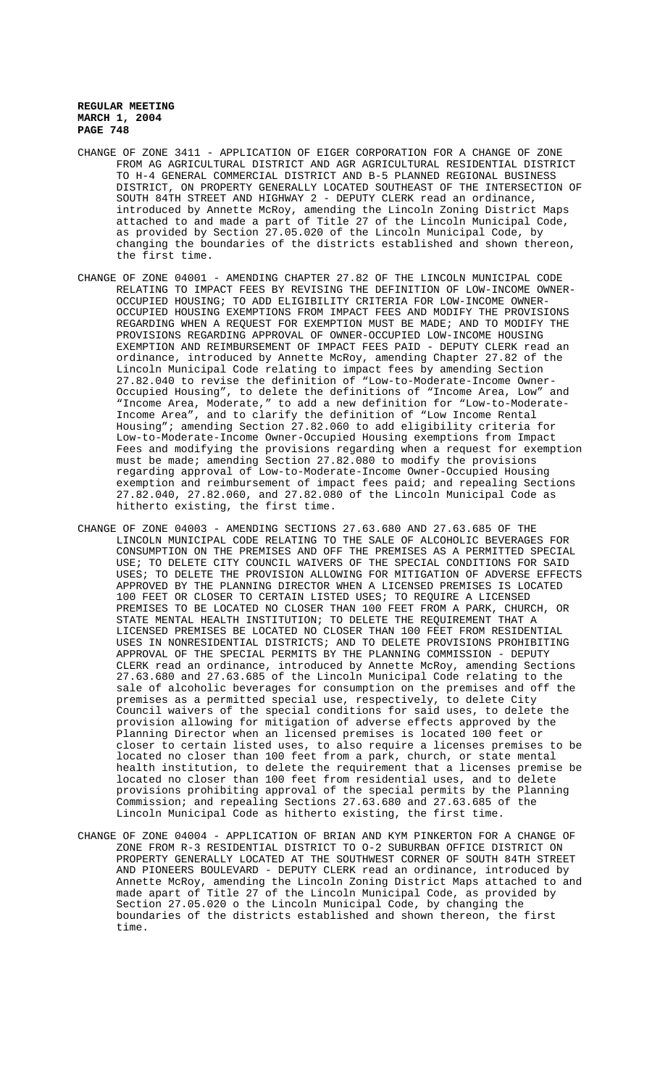- CHANGE OF ZONE 3411 APPLICATION OF EIGER CORPORATION FOR A CHANGE OF ZONE FROM AG AGRICULTURAL DISTRICT AND AGR AGRICULTURAL RESIDENTIAL DISTRICT TO H-4 GENERAL COMMERCIAL DISTRICT AND B-5 PLANNED REGIONAL BUSINESS DISTRICT, ON PROPERTY GENERALLY LOCATED SOUTHEAST OF THE INTERSECTION OF SOUTH 84TH STREET AND HIGHWAY 2 - DEPUTY CLERK read an ordinance, introduced by Annette McRoy, amending the Lincoln Zoning District Maps attached to and made a part of Title 27 of the Lincoln Municipal Code, as provided by Section 27.05.020 of the Lincoln Municipal Code, by changing the boundaries of the districts established and shown thereon, the first time.
- CHANGE OF ZONE 04001 AMENDING CHAPTER 27.82 OF THE LINCOLN MUNICIPAL CODE RELATING TO IMPACT FEES BY REVISING THE DEFINITION OF LOW-INCOME OWNER-OCCUPIED HOUSING; TO ADD ELIGIBILITY CRITERIA FOR LOW-INCOME OWNER-OCCUPIED HOUSING EXEMPTIONS FROM IMPACT FEES AND MODIFY THE PROVISIONS REGARDING WHEN A REQUEST FOR EXEMPTION MUST BE MADE; AND TO MODIFY THE PROVISIONS REGARDING APPROVAL OF OWNER-OCCUPIED LOW-INCOME HOUSING EXEMPTION AND REIMBURSEMENT OF IMPACT FEES PAID - DEPUTY CLERK read an ordinance, introduced by Annette McRoy, amending Chapter 27.82 of the Lincoln Municipal Code relating to impact fees by amending Section 27.82.040 to revise the definition of "Low-to-Moderate-Income Owner-Occupied Housing", to delete the definitions of "Income Area, Low" and "Income Area, Moderate," to add a new definition for "Low-to-Moderate-Income Area", and to clarify the definition of "Low Income Rental Housing"; amending Section 27.82.060 to add eligibility criteria for Low-to-Moderate-Income Owner-Occupied Housing exemptions from Impact Fees and modifying the provisions regarding when a request for exemption must be made; amending Section 27.82.080 to modify the provisions regarding approval of Low-to-Moderate-Income Owner-Occupied Housing exemption and reimbursement of impact fees paid; and repealing Sections 27.82.040, 27.82.060, and 27.82.080 of the Lincoln Municipal Code as hitherto existing, the first time.
- CHANGE OF ZONE 04003 AMENDING SECTIONS 27.63.680 AND 27.63.685 OF THE LINCOLN MUNICIPAL CODE RELATING TO THE SALE OF ALCOHOLIC BEVERAGES FOR CONSUMPTION ON THE PREMISES AND OFF THE PREMISES AS A PERMITTED SPECIAL USE; TO DELETE CITY COUNCIL WAIVERS OF THE SPECIAL CONDITIONS FOR SAID USES; TO DELETE THE PROVISION ALLOWING FOR MITIGATION OF ADVERSE EFFECTS APPROVED BY THE PLANNING DIRECTOR WHEN A LICENSED PREMISES IS LOCATED 100 FEET OR CLOSER TO CERTAIN LISTED USES; TO REQUIRE A LICENSED PREMISES TO BE LOCATED NO CLOSER THAN 100 FEET FROM A PARK, CHURCH, OR STATE MENTAL HEALTH INSTITUTION; TO DELETE THE REQUIREMENT THAT A LICENSED PREMISES BE LOCATED NO CLOSER THAN 100 FEET FROM RESIDENTIAL USES IN NONRESIDENTIAL DISTRICTS; AND TO DELETE PROVISIONS PROHIBITING APPROVAL OF THE SPECIAL PERMITS BY THE PLANNING COMMISSION - DEPUTY CLERK read an ordinance, introduced by Annette McRoy, amending Sections 27.63.680 and 27.63.685 of the Lincoln Municipal Code relating to the sale of alcoholic beverages for consumption on the premises and off the premises as a permitted special use, respectively, to delete City Council waivers of the special conditions for said uses, to delete the provision allowing for mitigation of adverse effects approved by the Planning Director when an licensed premises is located 100 feet or closer to certain listed uses, to also require a licenses premises to be located no closer than 100 feet from a park, church, or state mental health institution, to delete the requirement that a licenses premise be located no closer than 100 feet from residential uses, and to delete provisions prohibiting approval of the special permits by the Planning Commission; and repealing Sections 27.63.680 and 27.63.685 of the Lincoln Municipal Code as hitherto existing, the first time.
- CHANGE OF ZONE 04004 APPLICATION OF BRIAN AND KYM PINKERTON FOR A CHANGE OF ZONE FROM R-3 RESIDENTIAL DISTRICT TO O-2 SUBURBAN OFFICE DISTRICT ON PROPERTY GENERALLY LOCATED AT THE SOUTHWEST CORNER OF SOUTH 84TH STREET AND PIONEERS BOULEVARD - DEPUTY CLERK read an ordinance, introduced by Annette McRoy, amending the Lincoln Zoning District Maps attached to and made apart of Title 27 of the Lincoln Municipal Code, as provided by Section 27.05.020 o the Lincoln Municipal Code, by changing the boundaries of the districts established and shown thereon, the first time.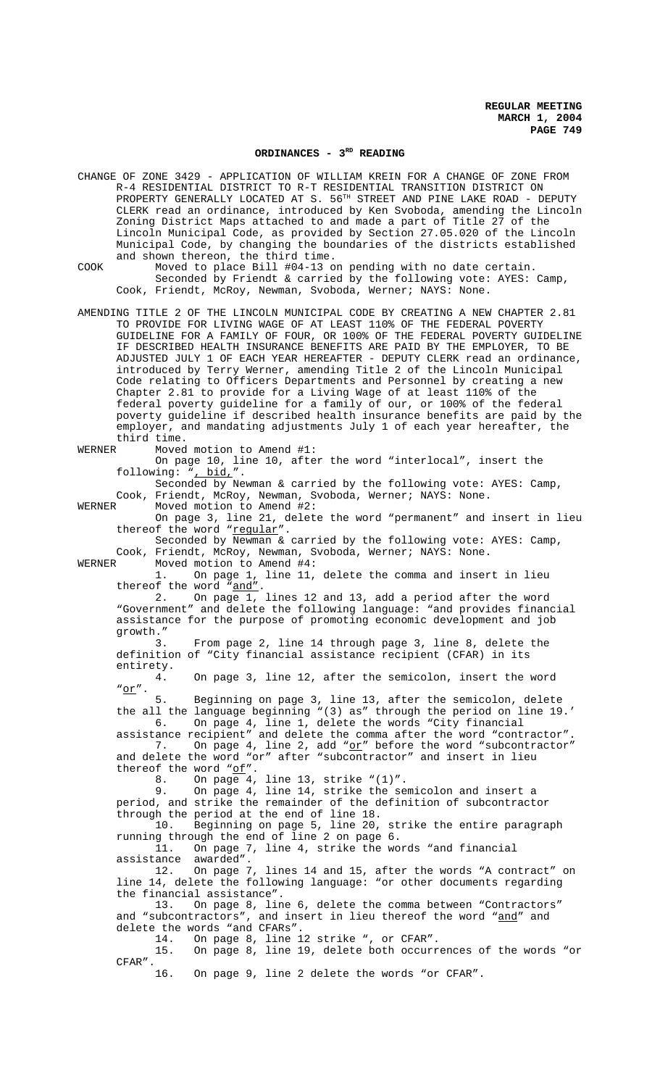#### ORDINANCES - 3<sup>RD</sup> READING

CHANGE OF ZONE 3429 - APPLICATION OF WILLIAM KREIN FOR A CHANGE OF ZONE FROM R-4 RESIDENTIAL DISTRICT TO R-T RESIDENTIAL TRANSITION DISTRICT ON PROPERTY GENERALLY LOCATED AT S. 56<sup>TH</sup> STREET AND PINE LAKE ROAD - DEPUTY CLERK read an ordinance, introduced by Ken Svoboda, amending the Lincoln Zoning District Maps attached to and made a part of Title 27 of the Lincoln Municipal Code, as provided by Section 27.05.020 of the Lincoln Municipal Code, by changing the boundaries of the districts established and shown thereon, the third time.

COOK Moved to place Bill #04-13 on pending with no date certain. Seconded by Friendt & carried by the following vote: AYES: Camp, Cook, Friendt, McRoy, Newman, Svoboda, Werner; NAYS: None.

AMENDING TITLE 2 OF THE LINCOLN MUNICIPAL CODE BY CREATING A NEW CHAPTER 2.81 TO PROVIDE FOR LIVING WAGE OF AT LEAST 110% OF THE FEDERAL POVERTY GUIDELINE FOR A FAMILY OF FOUR, OR 100% OF THE FEDERAL POVERTY GUIDELINE IF DESCRIBED HEALTH INSURANCE BENEFITS ARE PAID BY THE EMPLOYER, TO BE ADJUSTED JULY 1 OF EACH YEAR HEREAFTER - DEPUTY CLERK read an ordinance, introduced by Terry Werner, amending Title 2 of the Lincoln Municipal Code relating to Officers Departments and Personnel by creating a new Chapter 2.81 to provide for a Living Wage of at least 110% of the federal poverty guideline for a family of our, or 100% of the federal poverty guideline if described health insurance benefits are paid by the employer, and mandating adjustments July 1 of each year hereafter, the third time.<br>WERNER Moved

Moved motion to Amend #1:

On page 10, line 10, after the word "interlocal", insert the following: ", bid,".

Seconded by Newman & carried by the following vote: AYES: Camp, Cook, Friendt, McRoy, Newman, Svoboda, Werner; NAYS: None. WERNER Moved motion to Amend #2:

On page 3, line 21, delete the word "permanent" and insert in lieu thereof the word "regular".

Seconded by Newman & carried by the following vote: AYES: Camp, Cook, Friendt, McRoy, Newman, Svoboda, Werner; NAYS: None.

WERNER Moved motion to Amend #4:<br>1. On page 1, line 11, 1. On page 1, line 11, delete the comma and insert in lieu thereof the word "and".

2. On page 1, lines 12 and 13, add a period after the word "Government" and delete the following language: "and provides financial assistance for the purpose of promoting economic development and job growth."

3. From page 2, line 14 through page 3, line 8, delete the definition of "City financial assistance recipient (CFAR) in its entirety.

4. On page 3, line 12, after the semicolon, insert the word "or".

5. Beginning on page 3, line 13, after the semicolon, delete the all the language beginning "(3) as" through the period on line 19.' 6. On page 4, line 1, delete the words "City financial

assistance recipient" and delete the comma after the word "contractor". 7. On page 4, line 2, add "or" before the word "subcontractor" and delete the word "or" after "subcontractor" and insert in lieu thereof the word  $\frac{\sqrt{6}}{1}$ .<br>8. On page 4,

On page  $4$ , line 13, strike "(1)".

9. On page 4, line 14, strike the semicolon and insert a period, and strike the remainder of the definition of subcontractor through the period at the end of line 18. 10. Beginning on page 5, line 20, strike the entire paragraph running through the end of line 2 on page 6. 11. On page 7, line 4, strike the words "and financial assistance awarded". 12. On page 7, lines 14 and 15, after the words "A contract" on line 14, delete the following language: "or other documents regarding the financial assistance". 13. On page 8, line 6, delete the comma between "Contractors" and "subcontractors", and insert in lieu thereof the word "and" and delete the words "and CFARs".

14. On page 8, line 12 strike ", or CFAR".

15. On page 8, line 19, delete both occurrences of the words "or  $\mathtt{CFAR}$  .

16. On page 9, line 2 delete the words "or CFAR".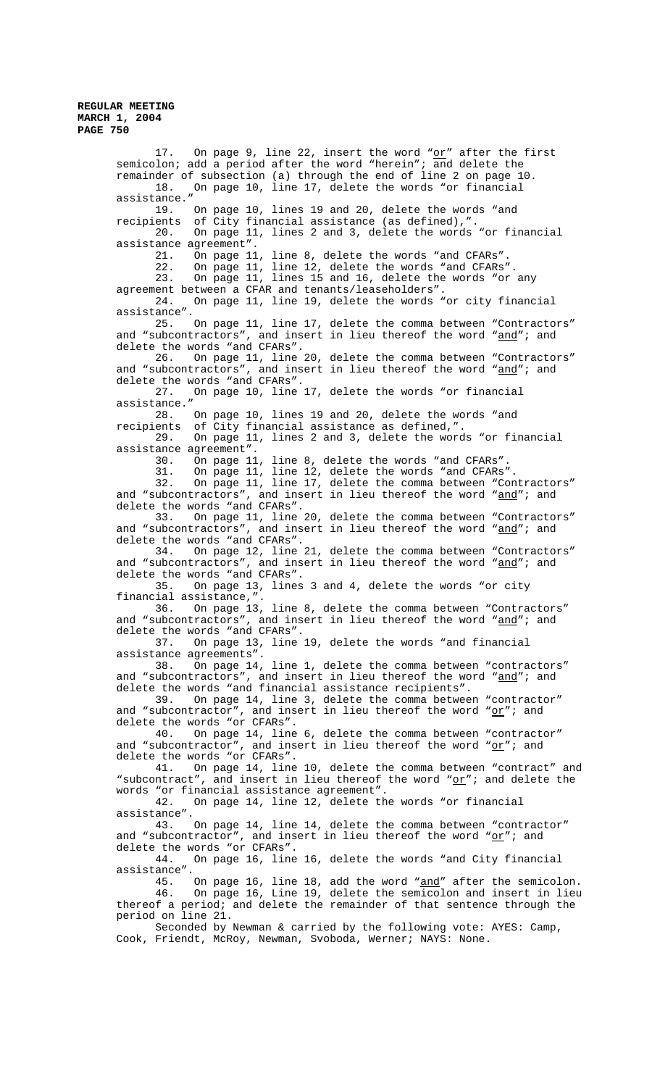> 17. On page 9, line 22, insert the word "or" after the first semicolon; add a period after the word "herein"; and delete the remainder of subsection (a) through the end of line 2 on page 10. 18. On page 10, line 17, delete the words "or financial assistance." 19. On page 10, lines 19 and 20, delete the words "and recipients of City financial assistance (as defined),"<br>20. On page 11, lines 2 and 3, delete the words 20. On page 11, lines 2 and 3, delete the words "or financial assistance agreement".<br>21. On page 11 21. On page 11, line 8, delete the words "and CFARs".<br>22. On page 11, line 12, delete the words "and CFARs" 22. On page 11, line 12, delete the words "and CFARs". 23. On page 11, lines 15 and 16, delete the words "or any agreement between a CFAR and tenants/leaseholders".<br>24. On page 11, line 19, delete the words On page 11, line 19, delete the words "or city financial assistance". 25. On page 11, line 17, delete the comma between "Contractors" and "subcontractors", and insert in lieu thereof the word "and"; and delete the words "and CFARs". 26. On page 11, line 20, delete the comma between "Contractors" and "subcontractors", and insert in lieu thereof the word "and"; and delete the words "and CFARs".<br>27. On page 10, line On page 10, line 17, delete the words "or financial assistance." 28. On page 10, lines 19 and 20, delete the words "and recipients of City financial assistance as defined,". 29. On page 11, lines 2 and 3, delete the words "or financial assistance agreement". 30. On page 11, line 8, delete the words "and CFARs". 31. On page 11, line 12, delete the words "and CFARs". 32. On page 11, line 17, delete the comma between "Contractors" and "subcontractors", and insert in lieu thereof the word "and"; and delete the words "and CFARs".<br>33. On page 11, line On page 11, line 20, delete the comma between "Contractors" and "subcontractors", and insert in lieu thereof the word "and"; and delete the words "and CFARs". 34. On page 12, line 21, delete the comma between "Contractors" and "subcontractors", and insert in lieu thereof the word "and"; and delete the words "and CFARs".<br>35. On page 13, lines On page 13, lines 3 and 4, delete the words "or city financial assistance,". 36. On page 13, line 8, delete the comma between "Contractors" and "subcontractors", and insert in lieu thereof the word "and"; and delete the words "and CFARs". 37. On page 13, line 19, delete the words "and financial assistance agreements".<br>38. On page 14, On page 14, line 1, delete the comma between "contractors" and "subcontractors", and insert in lieu thereof the word "and"; and delete the words "and financial assistance recipients". 39. On page 14, line 3, delete the comma between "contractor" and "subcontractor", and insert in lieu thereof the word "or"; and delete the words "or CFARs". 40. On page 14, line 6, delete the comma between "contractor" and "subcontractor", and insert in lieu thereof the word " $o$ r"; and delete the words "or CFARs". 41. On page 14, line 10, delete the comma between "contract" and "subcontract", and insert in lieu thereof the word "or"; and delete the words "or financial assistance agreement".<br>42. On page 14, line 12, delete th On page 14, line 12, delete the words "or financial assistance". 43. On page 14, line 14, delete the comma between "contractor" and "subcontractor", and insert in lieu thereof the word " $o$ r"; and delete the words "or CFARs".<br>44. On page 16, line On page 16, line 16, delete the words "and City financial assistance". 45. On page 16, line 18, add the word "and" after the semicolon. 46. On page 16, Line 19, delete the semicolon and insert in lieu thereof a period; and delete the remainder of that sentence through the period on line 21. Seconded by Newman & carried by the following vote: AYES: Camp, Cook, Friendt, McRoy, Newman, Svoboda, Werner; NAYS: None.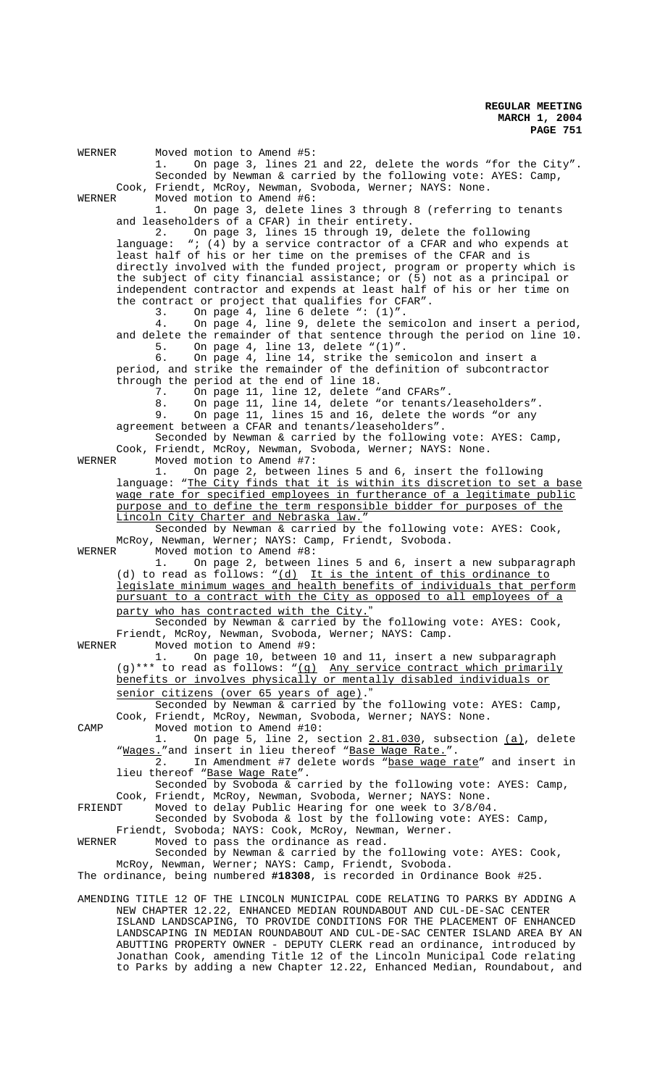WERNER Moved motion to Amend #5: 1. On page 3, lines 21 and 22, delete the words "for the City". Seconded by Newman & carried by the following vote: AYES: Camp, Cook, Friendt, McRoy, Newman, Svoboda, Werner; NAYS: None.<br>WERNER Moved motion to Amend #6: Moved motion to Amend #6: 1. On page 3, delete lines 3 through 8 (referring to tenants and leaseholders of a CFAR) in their entirety. 2. On page 3, lines 15 through 19, delete the following language: "; (4) by a service contractor of a CFAR and who expends at least half of his or her time on the premises of the CFAR and is directly involved with the funded project, program or property which is the subject of city financial assistance; or (5) not as a principal or independent contractor and expends at least half of his or her time on the contract or project that qualifies for CFAR". 3. On page 4, line 6 delete ":  $(1)$ ". 4. On page 4, line 9, delete the semicolon and insert a period, and delete the remainder of that sentence through the period on line 10. 5. On page 4, line 13, delete "(1)". 6. On page 4, line 14, strike the semicolon and insert a period, and strike the remainder of the definition of subcontractor through the period at the end of line 18. 7. On page 11, line 12, delete "and CFARs". 8. On page 11, line 14, delete "or tenants/leaseholders". 9. On page 11, lines 15 and 16, delete the words "or any agreement between a CFAR and tenants/leaseholders". Seconded by Newman & carried by the following vote: AYES: Camp, Cook, Friendt, McRoy, Newman, Svoboda, Werner; NAYS: None.<br>WERNER Moved motion to Amend #7: Moved motion to Amend #7: 1. On page 2, between lines 5 and 6, insert the following language: "The City finds that it is within its discretion to set a base wage rate for specified employees in furtherance of a legitimate public purpose and to define the term responsible bidder for purposes of the Lincoln City Charter and Nebraska law." Seconded by Newman & carried by the following vote: AYES: Cook, McRoy, Newman, Werner; NAYS: Camp, Friendt, Svoboda.<br>WERNER Moved motion to Amend #8: Moved motion to Amend #8: 1. On page 2, between lines 5 and 6, insert a new subparagraph (d) to read as  $f$ ollows: " $(d)$  It is the intent of this ordinance to legislate minimum wages and health benefits of individuals that perform pursuant to a contract with the City as opposed to all employees of a party who has contracted with the City. Seconded by Newman & carried by the following vote: AYES: Cook, Friendt, McRoy, Newman, Svoboda, Werner; NAYS: Camp.<br>WERNER Moved motion to Amend #9: Moved motion to Amend #9: 1. On page 10, between 10 and 11, insert a new subparagraph (g)\*\*\* to read as follows: "(g) Any service contract which primarily benefits or involves physically or mentally disabled individuals or senior citizens (over 65 years of age)." Seconded by Newman & carried by the following vote: AYES: Camp, Cook, Friendt, McRoy, Newman, Svoboda, Werner; NAYS: None. CAMP Moved motion to Amend #10:<br>1. On page 5, line 2, s On page 5, line 2, section  $2.81.030$ , subsection  $(a)$ , delete "Wages."and insert in lieu thereof "Base Wage Rate.". 2. In Amendment #7 delete words "base wage rate" and insert in lieu thereof "Base Wage Rate". Seconded by Svoboda & carried by the following vote: AYES: Camp, Cook, Friendt, McRoy, Newman, Svoboda, Werner; NAYS: None. FRIENDT Moved to delay Public Hearing for one week to 3/8/04. Seconded by Svoboda & lost by the following vote: AYES: Camp, Friendt, Svoboda; NAYS: Cook, McRoy, Newman, Werner. WERNER Moved to pass the ordinance as read. Seconded by Newman & carried by the following vote: AYES: Cook, McRoy, Newman, Werner; NAYS: Camp, Friendt, Svoboda. The ordinance, being numbered **#18308**, is recorded in Ordinance Book #25. AMENDING TITLE 12 OF THE LINCOLN MUNICIPAL CODE RELATING TO PARKS BY ADDING A NEW CHAPTER 12.22, ENHANCED MEDIAN ROUNDABOUT AND CUL-DE-SAC CENTER ISLAND LANDSCAPING, TO PROVIDE CONDITIONS FOR THE PLACEMENT OF ENHANCED LANDSCAPING IN MEDIAN ROUNDABOUT AND CUL-DE-SAC CENTER ISLAND AREA BY AN ABUTTING PROPERTY OWNER - DEPUTY CLERK read an ordinance, introduced by Jonathan Cook, amending Title 12 of the Lincoln Municipal Code relating to Parks by adding a new Chapter 12.22, Enhanced Median, Roundabout, and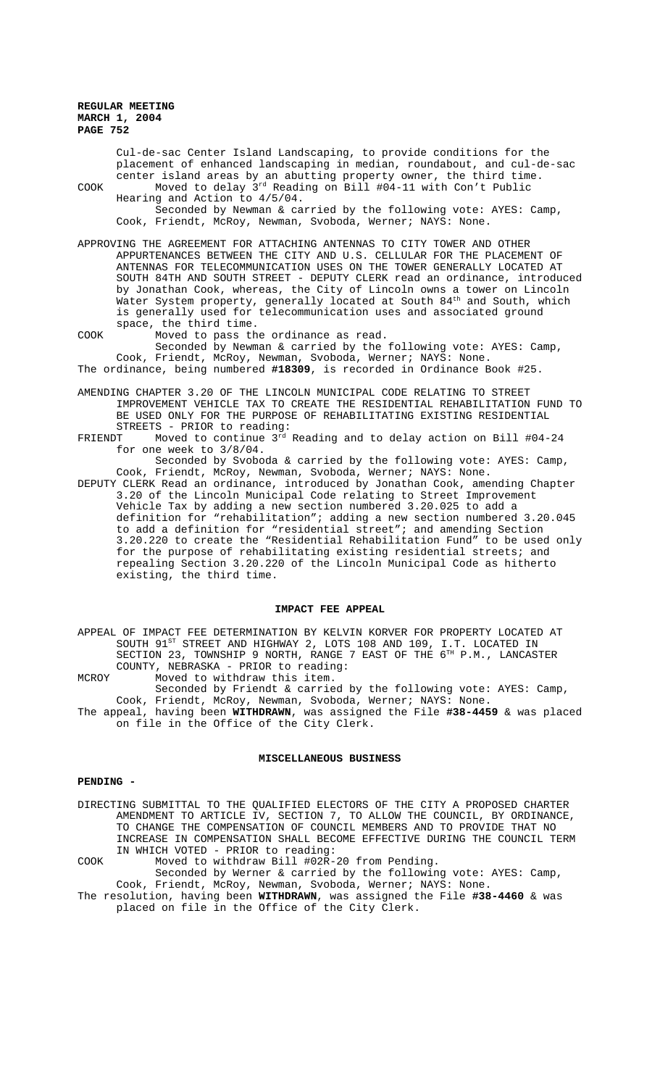Cul-de-sac Center Island Landscaping, to provide conditions for the placement of enhanced landscaping in median, roundabout, and cul-de-sac center island areas by an abutting property owner, the third time. COOK Moved to delay  $3^{rd}$  Reading on Bill #04-11 with Con't Public Hearing and Action to 4/5/04. Seconded by Newman & carried by the following vote: AYES: Camp, Cook, Friendt, McRoy, Newman, Svoboda, Werner; NAYS: None. APPROVING THE AGREEMENT FOR ATTACHING ANTENNAS TO CITY TOWER AND OTHER APPURTENANCES BETWEEN THE CITY AND U.S. CELLULAR FOR THE PLACEMENT OF ANTENNAS FOR TELECOMMUNICATION USES ON THE TOWER GENERALLY LOCATED AT SOUTH 84TH AND SOUTH STREET - DEPUTY CLERK read an ordinance, introduced by Jonathan Cook, whereas, the City of Lincoln owns a tower on Lincoln Water System property, generally located at South 84<sup>th</sup> and South, which is generally used for telecommunication uses and associated ground space, the third time. COOK Moved to pass the ordinance as read. Seconded by Newman & carried by the following vote: AYES: Camp, Cook, Friendt, McRoy, Newman, Svoboda, Werner; NAYS: None. The ordinance, being numbered **#18309**, is recorded in Ordinance Book #25. AMENDING CHAPTER 3.20 OF THE LINCOLN MUNICIPAL CODE RELATING TO STREET IMPROVEMENT VEHICLE TAX TO CREATE THE RESIDENTIAL REHABILITATION FUND TO BE USED ONLY FOR THE PURPOSE OF REHABILITATING EXISTING RESIDENTIAL STREETS - PRIOR to reading: FRIENDT Moved to continue  $3^{rd}$  Reading and to delay action on Bill  $#04-24$ for one week to 3/8/04. Seconded by Svoboda & carried by the following vote: AYES: Camp, Cook, Friendt, McRoy, Newman, Svoboda, Werner; NAYS: None. DEPUTY CLERK Read an ordinance, introduced by Jonathan Cook, amending Chapter 3.20 of the Lincoln Municipal Code relating to Street Improvement Vehicle Tax by adding a new section numbered 3.20.025 to add a definition for "rehabilitation"; adding a new section numbered 3.20.045 to add a definition for "residential street"; and amending Section

3.20.220 to create the "Residential Rehabilitation Fund" to be used only for the purpose of rehabilitating existing residential streets; and repealing Section 3.20.220 of the Lincoln Municipal Code as hitherto existing, the third time.

#### **IMPACT FEE APPEAL**

APPEAL OF IMPACT FEE DETERMINATION BY KELVIN KORVER FOR PROPERTY LOCATED AT SOUTH 91<sup>ST</sup> STREET AND HIGHWAY 2, LOTS 108 AND 109, I.T. LOCATED IN SECTION 23, TOWNSHIP 9 NORTH, RANGE 7 EAST OF THE 6TH P.M., LANCASTER COUNTY, NEBRASKA - PRIOR to reading:

MCROY Moved to withdraw this item.

Seconded by Friendt & carried by the following vote: AYES: Camp, Cook, Friendt, McRoy, Newman, Svoboda, Werner; NAYS: None. The appeal, having been **WITHDRAWN**, was assigned the File **#38-4459** & was placed on file in the Office of the City Clerk.

## **MISCELLANEOUS BUSINESS**

# **PENDING -**

DIRECTING SUBMITTAL TO THE QUALIFIED ELECTORS OF THE CITY A PROPOSED CHARTER AMENDMENT TO ARTICLE IV, SECTION 7, TO ALLOW THE COUNCIL, BY ORDINANCE, TO CHANGE THE COMPENSATION OF COUNCIL MEMBERS AND TO PROVIDE THAT NO INCREASE IN COMPENSATION SHALL BECOME EFFECTIVE DURING THE COUNCIL TERM IN WHICH VOTED - PRIOR to reading:

COOK Moved to withdraw Bill #02R-20 from Pending.

Seconded by Werner & carried by the following vote: AYES: Camp, Cook, Friendt, McRoy, Newman, Svoboda, Werner; NAYS: None. The resolution, having been **WITHDRAWN**, was assigned the File **#38-4460** & was placed on file in the Office of the City Clerk.